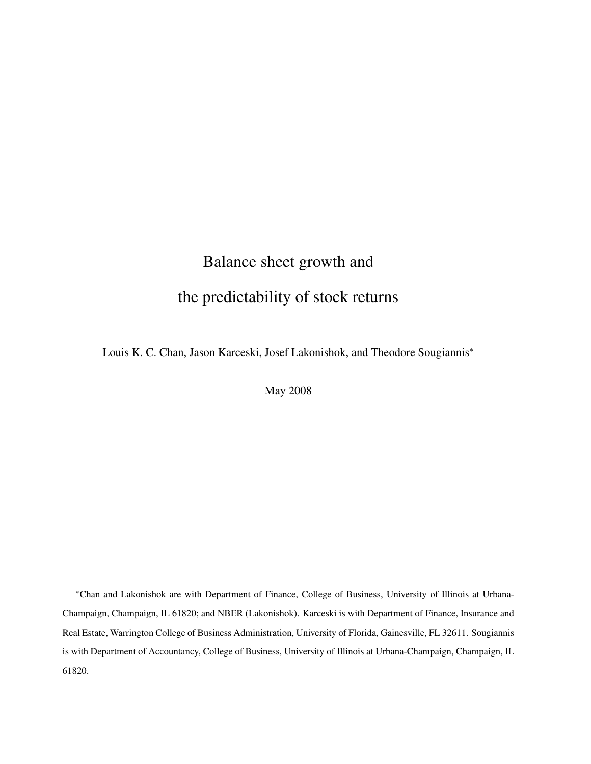# Balance sheet growth and the predictability of stock returns

Louis K. C. Chan, Jason Karceski, Josef Lakonishok, and Theodore Sougiannis<sup>∗</sup>

May 2008

∗Chan and Lakonishok are with Department of Finance, College of Business, University of Illinois at Urbana-Champaign, Champaign, IL 61820; and NBER (Lakonishok). Karceski is with Department of Finance, Insurance and Real Estate, Warrington College of Business Administration, University of Florida, Gainesville, FL 32611. Sougiannis is with Department of Accountancy, College of Business, University of Illinois at Urbana-Champaign, Champaign, IL 61820.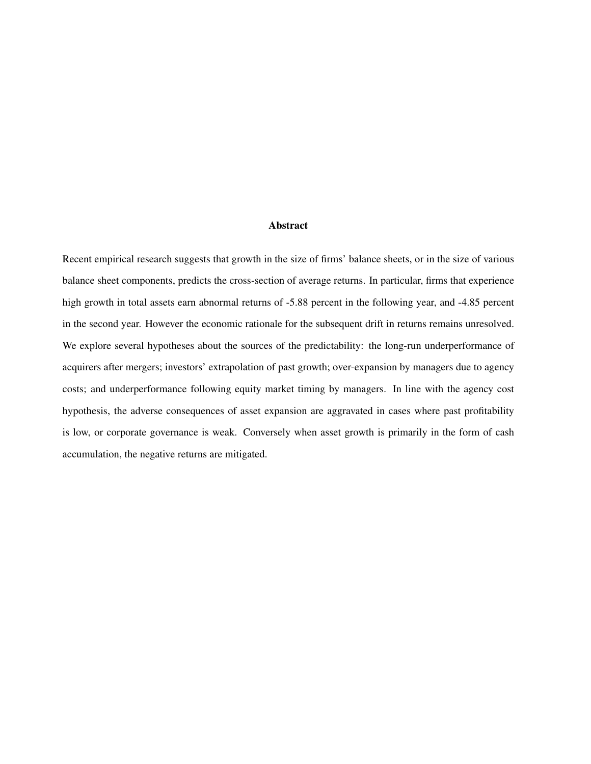#### Abstract

Recent empirical research suggests that growth in the size of firms' balance sheets, or in the size of various balance sheet components, predicts the cross-section of average returns. In particular, firms that experience high growth in total assets earn abnormal returns of -5.88 percent in the following year, and -4.85 percent in the second year. However the economic rationale for the subsequent drift in returns remains unresolved. We explore several hypotheses about the sources of the predictability: the long-run underperformance of acquirers after mergers; investors' extrapolation of past growth; over-expansion by managers due to agency costs; and underperformance following equity market timing by managers. In line with the agency cost hypothesis, the adverse consequences of asset expansion are aggravated in cases where past profitability is low, or corporate governance is weak. Conversely when asset growth is primarily in the form of cash accumulation, the negative returns are mitigated.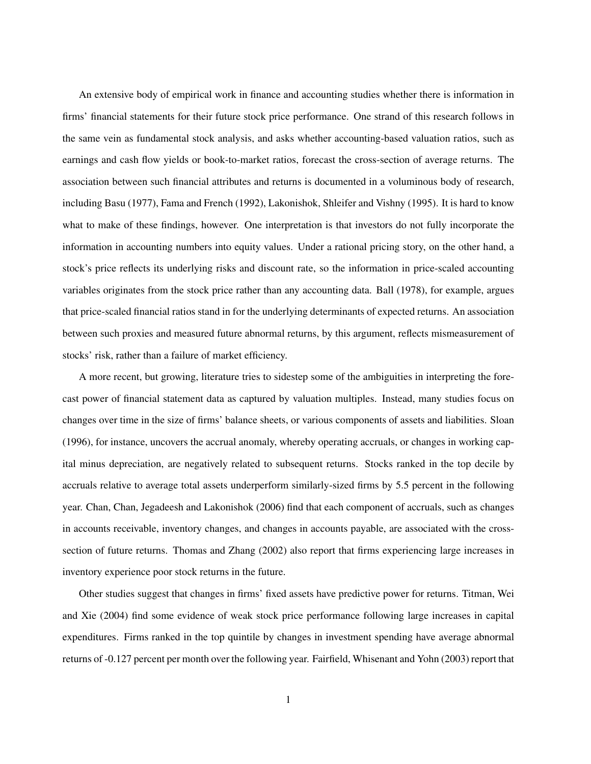An extensive body of empirical work in finance and accounting studies whether there is information in firms' financial statements for their future stock price performance. One strand of this research follows in the same vein as fundamental stock analysis, and asks whether accounting-based valuation ratios, such as earnings and cash flow yields or book-to-market ratios, forecast the cross-section of average returns. The association between such financial attributes and returns is documented in a voluminous body of research, including Basu (1977), Fama and French (1992), Lakonishok, Shleifer and Vishny (1995). It is hard to know what to make of these findings, however. One interpretation is that investors do not fully incorporate the information in accounting numbers into equity values. Under a rational pricing story, on the other hand, a stock's price reflects its underlying risks and discount rate, so the information in price-scaled accounting variables originates from the stock price rather than any accounting data. Ball (1978), for example, argues that price-scaled financial ratios stand in for the underlying determinants of expected returns. An association between such proxies and measured future abnormal returns, by this argument, reflects mismeasurement of stocks' risk, rather than a failure of market efficiency.

A more recent, but growing, literature tries to sidestep some of the ambiguities in interpreting the forecast power of financial statement data as captured by valuation multiples. Instead, many studies focus on changes over time in the size of firms' balance sheets, or various components of assets and liabilities. Sloan (1996), for instance, uncovers the accrual anomaly, whereby operating accruals, or changes in working capital minus depreciation, are negatively related to subsequent returns. Stocks ranked in the top decile by accruals relative to average total assets underperform similarly-sized firms by 5.5 percent in the following year. Chan, Chan, Jegadeesh and Lakonishok (2006) find that each component of accruals, such as changes in accounts receivable, inventory changes, and changes in accounts payable, are associated with the crosssection of future returns. Thomas and Zhang (2002) also report that firms experiencing large increases in inventory experience poor stock returns in the future.

Other studies suggest that changes in firms' fixed assets have predictive power for returns. Titman, Wei and Xie (2004) find some evidence of weak stock price performance following large increases in capital expenditures. Firms ranked in the top quintile by changes in investment spending have average abnormal returns of -0.127 percent per month over the following year. Fairfield, Whisenant and Yohn (2003) report that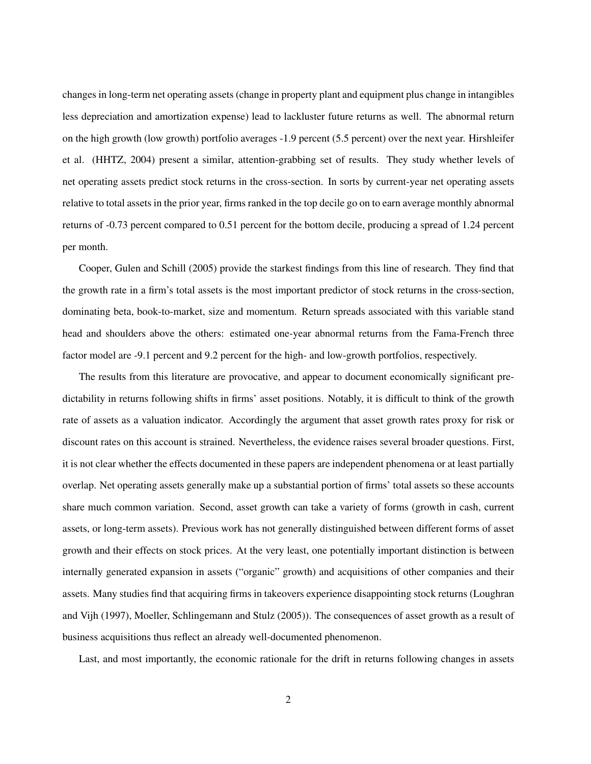changes in long-term net operating assets (change in property plant and equipment plus change in intangibles less depreciation and amortization expense) lead to lackluster future returns as well. The abnormal return on the high growth (low growth) portfolio averages -1.9 percent (5.5 percent) over the next year. Hirshleifer et al. (HHTZ, 2004) present a similar, attention-grabbing set of results. They study whether levels of net operating assets predict stock returns in the cross-section. In sorts by current-year net operating assets relative to total assets in the prior year, firms ranked in the top decile go on to earn average monthly abnormal returns of -0.73 percent compared to 0.51 percent for the bottom decile, producing a spread of 1.24 percent per month.

Cooper, Gulen and Schill (2005) provide the starkest findings from this line of research. They find that the growth rate in a firm's total assets is the most important predictor of stock returns in the cross-section, dominating beta, book-to-market, size and momentum. Return spreads associated with this variable stand head and shoulders above the others: estimated one-year abnormal returns from the Fama-French three factor model are -9.1 percent and 9.2 percent for the high- and low-growth portfolios, respectively.

The results from this literature are provocative, and appear to document economically significant predictability in returns following shifts in firms' asset positions. Notably, it is difficult to think of the growth rate of assets as a valuation indicator. Accordingly the argument that asset growth rates proxy for risk or discount rates on this account is strained. Nevertheless, the evidence raises several broader questions. First, it is not clear whether the effects documented in these papers are independent phenomena or at least partially overlap. Net operating assets generally make up a substantial portion of firms' total assets so these accounts share much common variation. Second, asset growth can take a variety of forms (growth in cash, current assets, or long-term assets). Previous work has not generally distinguished between different forms of asset growth and their effects on stock prices. At the very least, one potentially important distinction is between internally generated expansion in assets ("organic" growth) and acquisitions of other companies and their assets. Many studies find that acquiring firms in takeovers experience disappointing stock returns (Loughran and Vijh (1997), Moeller, Schlingemann and Stulz (2005)). The consequences of asset growth as a result of business acquisitions thus reflect an already well-documented phenomenon.

Last, and most importantly, the economic rationale for the drift in returns following changes in assets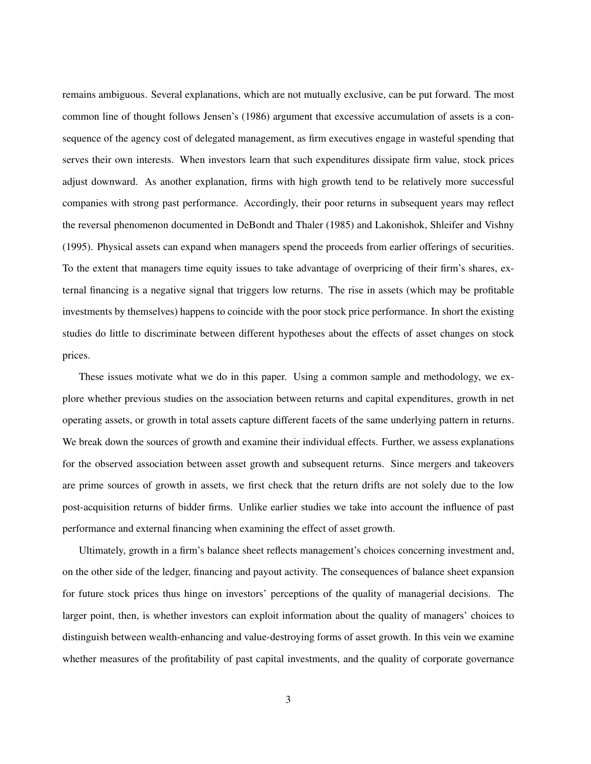remains ambiguous. Several explanations, which are not mutually exclusive, can be put forward. The most common line of thought follows Jensen's (1986) argument that excessive accumulation of assets is a consequence of the agency cost of delegated management, as firm executives engage in wasteful spending that serves their own interests. When investors learn that such expenditures dissipate firm value, stock prices adjust downward. As another explanation, firms with high growth tend to be relatively more successful companies with strong past performance. Accordingly, their poor returns in subsequent years may reflect the reversal phenomenon documented in DeBondt and Thaler (1985) and Lakonishok, Shleifer and Vishny (1995). Physical assets can expand when managers spend the proceeds from earlier offerings of securities. To the extent that managers time equity issues to take advantage of overpricing of their firm's shares, external financing is a negative signal that triggers low returns. The rise in assets (which may be profitable investments by themselves) happens to coincide with the poor stock price performance. In short the existing studies do little to discriminate between different hypotheses about the effects of asset changes on stock prices.

These issues motivate what we do in this paper. Using a common sample and methodology, we explore whether previous studies on the association between returns and capital expenditures, growth in net operating assets, or growth in total assets capture different facets of the same underlying pattern in returns. We break down the sources of growth and examine their individual effects. Further, we assess explanations for the observed association between asset growth and subsequent returns. Since mergers and takeovers are prime sources of growth in assets, we first check that the return drifts are not solely due to the low post-acquisition returns of bidder firms. Unlike earlier studies we take into account the influence of past performance and external financing when examining the effect of asset growth.

Ultimately, growth in a firm's balance sheet reflects management's choices concerning investment and, on the other side of the ledger, financing and payout activity. The consequences of balance sheet expansion for future stock prices thus hinge on investors' perceptions of the quality of managerial decisions. The larger point, then, is whether investors can exploit information about the quality of managers' choices to distinguish between wealth-enhancing and value-destroying forms of asset growth. In this vein we examine whether measures of the profitability of past capital investments, and the quality of corporate governance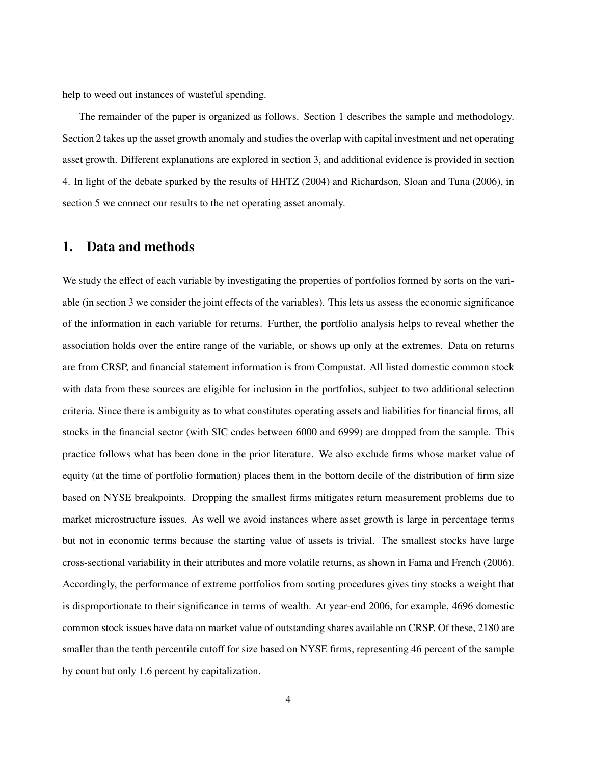help to weed out instances of wasteful spending.

The remainder of the paper is organized as follows. Section 1 describes the sample and methodology. Section 2 takes up the asset growth anomaly and studies the overlap with capital investment and net operating asset growth. Different explanations are explored in section 3, and additional evidence is provided in section 4. In light of the debate sparked by the results of HHTZ (2004) and Richardson, Sloan and Tuna (2006), in section 5 we connect our results to the net operating asset anomaly.

# 1. Data and methods

We study the effect of each variable by investigating the properties of portfolios formed by sorts on the variable (in section 3 we consider the joint effects of the variables). This lets us assess the economic significance of the information in each variable for returns. Further, the portfolio analysis helps to reveal whether the association holds over the entire range of the variable, or shows up only at the extremes. Data on returns are from CRSP, and financial statement information is from Compustat. All listed domestic common stock with data from these sources are eligible for inclusion in the portfolios, subject to two additional selection criteria. Since there is ambiguity as to what constitutes operating assets and liabilities for financial firms, all stocks in the financial sector (with SIC codes between 6000 and 6999) are dropped from the sample. This practice follows what has been done in the prior literature. We also exclude firms whose market value of equity (at the time of portfolio formation) places them in the bottom decile of the distribution of firm size based on NYSE breakpoints. Dropping the smallest firms mitigates return measurement problems due to market microstructure issues. As well we avoid instances where asset growth is large in percentage terms but not in economic terms because the starting value of assets is trivial. The smallest stocks have large cross-sectional variability in their attributes and more volatile returns, as shown in Fama and French (2006). Accordingly, the performance of extreme portfolios from sorting procedures gives tiny stocks a weight that is disproportionate to their significance in terms of wealth. At year-end 2006, for example, 4696 domestic common stock issues have data on market value of outstanding shares available on CRSP. Of these, 2180 are smaller than the tenth percentile cutoff for size based on NYSE firms, representing 46 percent of the sample by count but only 1.6 percent by capitalization.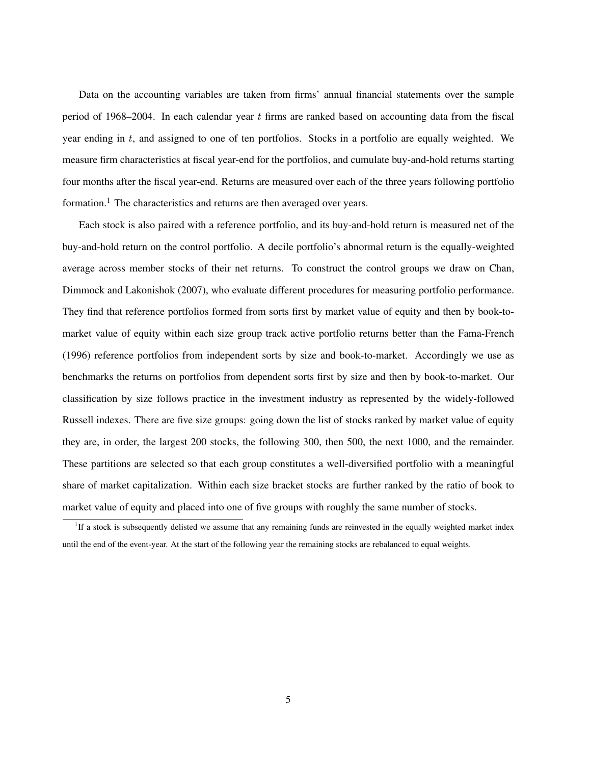Data on the accounting variables are taken from firms' annual financial statements over the sample period of 1968–2004. In each calendar year  $t$  firms are ranked based on accounting data from the fiscal year ending in t, and assigned to one of ten portfolios. Stocks in a portfolio are equally weighted. We measure firm characteristics at fiscal year-end for the portfolios, and cumulate buy-and-hold returns starting four months after the fiscal year-end. Returns are measured over each of the three years following portfolio formation.<sup>1</sup> The characteristics and returns are then averaged over years.

Each stock is also paired with a reference portfolio, and its buy-and-hold return is measured net of the buy-and-hold return on the control portfolio. A decile portfolio's abnormal return is the equally-weighted average across member stocks of their net returns. To construct the control groups we draw on Chan, Dimmock and Lakonishok (2007), who evaluate different procedures for measuring portfolio performance. They find that reference portfolios formed from sorts first by market value of equity and then by book-tomarket value of equity within each size group track active portfolio returns better than the Fama-French (1996) reference portfolios from independent sorts by size and book-to-market. Accordingly we use as benchmarks the returns on portfolios from dependent sorts first by size and then by book-to-market. Our classification by size follows practice in the investment industry as represented by the widely-followed Russell indexes. There are five size groups: going down the list of stocks ranked by market value of equity they are, in order, the largest 200 stocks, the following 300, then 500, the next 1000, and the remainder. These partitions are selected so that each group constitutes a well-diversified portfolio with a meaningful share of market capitalization. Within each size bracket stocks are further ranked by the ratio of book to market value of equity and placed into one of five groups with roughly the same number of stocks.

<sup>&</sup>lt;sup>1</sup>If a stock is subsequently delisted we assume that any remaining funds are reinvested in the equally weighted market index until the end of the event-year. At the start of the following year the remaining stocks are rebalanced to equal weights.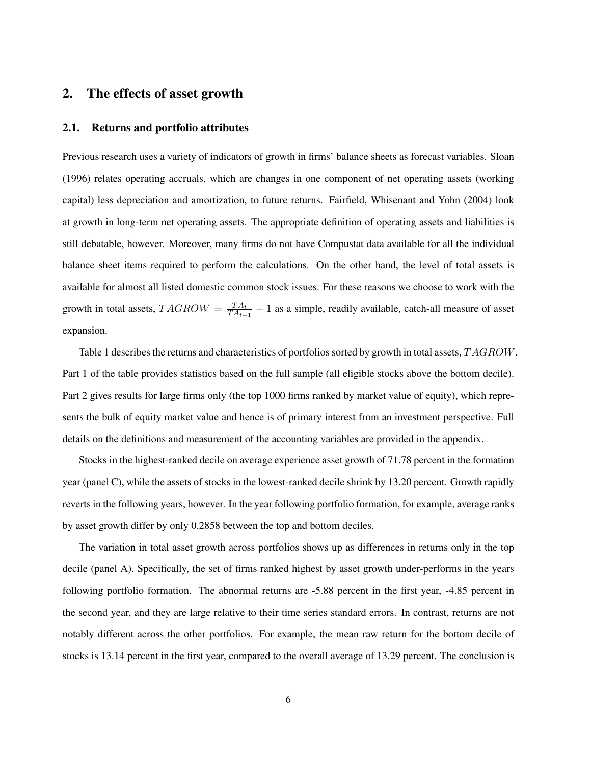# 2. The effects of asset growth

## 2.1. Returns and portfolio attributes

Previous research uses a variety of indicators of growth in firms' balance sheets as forecast variables. Sloan (1996) relates operating accruals, which are changes in one component of net operating assets (working capital) less depreciation and amortization, to future returns. Fairfield, Whisenant and Yohn (2004) look at growth in long-term net operating assets. The appropriate definition of operating assets and liabilities is still debatable, however. Moreover, many firms do not have Compustat data available for all the individual balance sheet items required to perform the calculations. On the other hand, the level of total assets is available for almost all listed domestic common stock issues. For these reasons we choose to work with the growth in total assets,  $TAGROW = \frac{TA_t}{TA_{t-1}} - 1$  as a simple, readily available, catch-all measure of asset expansion.

Table 1 describes the returns and characteristics of portfolios sorted by growth in total assets,  $TAGROW$ . Part 1 of the table provides statistics based on the full sample (all eligible stocks above the bottom decile). Part 2 gives results for large firms only (the top 1000 firms ranked by market value of equity), which represents the bulk of equity market value and hence is of primary interest from an investment perspective. Full details on the definitions and measurement of the accounting variables are provided in the appendix.

Stocks in the highest-ranked decile on average experience asset growth of 71.78 percent in the formation year (panel C), while the assets of stocks in the lowest-ranked decile shrink by 13.20 percent. Growth rapidly reverts in the following years, however. In the year following portfolio formation, for example, average ranks by asset growth differ by only 0.2858 between the top and bottom deciles.

The variation in total asset growth across portfolios shows up as differences in returns only in the top decile (panel A). Specifically, the set of firms ranked highest by asset growth under-performs in the years following portfolio formation. The abnormal returns are -5.88 percent in the first year, -4.85 percent in the second year, and they are large relative to their time series standard errors. In contrast, returns are not notably different across the other portfolios. For example, the mean raw return for the bottom decile of stocks is 13.14 percent in the first year, compared to the overall average of 13.29 percent. The conclusion is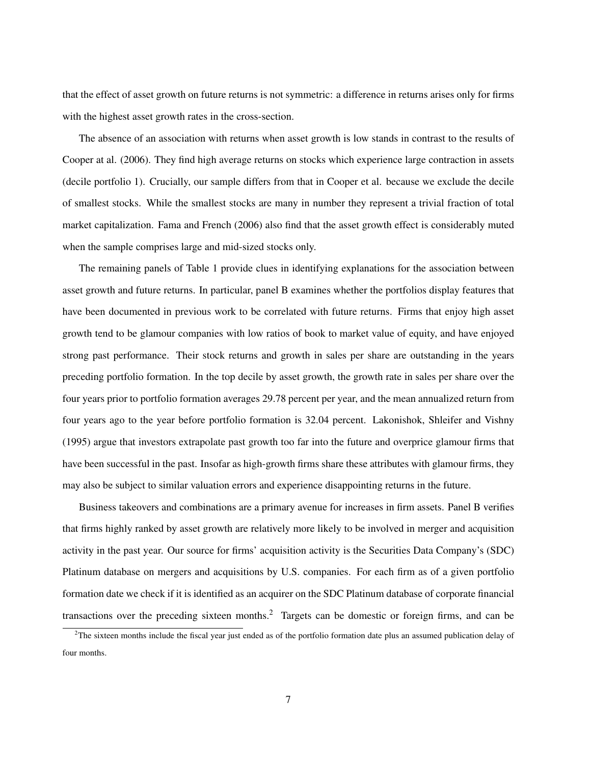that the effect of asset growth on future returns is not symmetric: a difference in returns arises only for firms with the highest asset growth rates in the cross-section.

The absence of an association with returns when asset growth is low stands in contrast to the results of Cooper at al. (2006). They find high average returns on stocks which experience large contraction in assets (decile portfolio 1). Crucially, our sample differs from that in Cooper et al. because we exclude the decile of smallest stocks. While the smallest stocks are many in number they represent a trivial fraction of total market capitalization. Fama and French (2006) also find that the asset growth effect is considerably muted when the sample comprises large and mid-sized stocks only.

The remaining panels of Table 1 provide clues in identifying explanations for the association between asset growth and future returns. In particular, panel B examines whether the portfolios display features that have been documented in previous work to be correlated with future returns. Firms that enjoy high asset growth tend to be glamour companies with low ratios of book to market value of equity, and have enjoyed strong past performance. Their stock returns and growth in sales per share are outstanding in the years preceding portfolio formation. In the top decile by asset growth, the growth rate in sales per share over the four years prior to portfolio formation averages 29.78 percent per year, and the mean annualized return from four years ago to the year before portfolio formation is 32.04 percent. Lakonishok, Shleifer and Vishny (1995) argue that investors extrapolate past growth too far into the future and overprice glamour firms that have been successful in the past. Insofar as high-growth firms share these attributes with glamour firms, they may also be subject to similar valuation errors and experience disappointing returns in the future.

Business takeovers and combinations are a primary avenue for increases in firm assets. Panel B verifies that firms highly ranked by asset growth are relatively more likely to be involved in merger and acquisition activity in the past year. Our source for firms' acquisition activity is the Securities Data Company's (SDC) Platinum database on mergers and acquisitions by U.S. companies. For each firm as of a given portfolio formation date we check if it is identified as an acquirer on the SDC Platinum database of corporate financial transactions over the preceding sixteen months.<sup>2</sup> Targets can be domestic or foreign firms, and can be

<sup>&</sup>lt;sup>2</sup>The sixteen months include the fiscal year just ended as of the portfolio formation date plus an assumed publication delay of four months.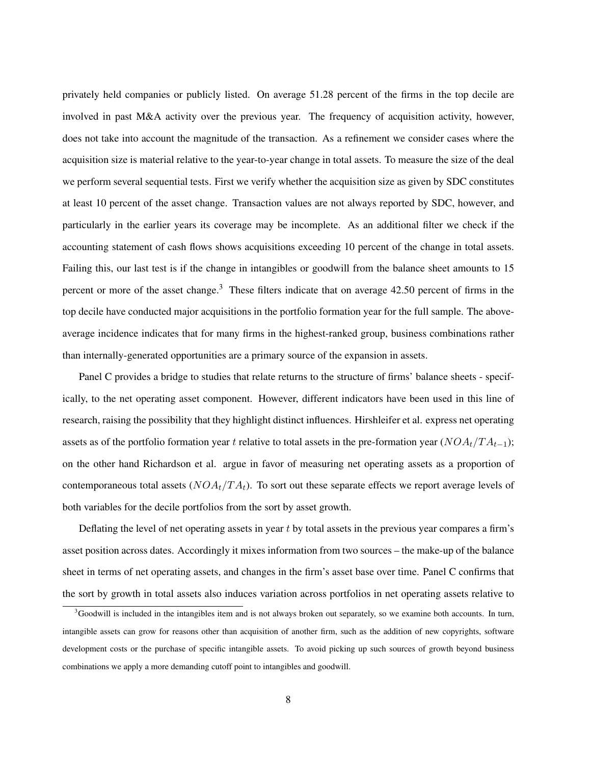privately held companies or publicly listed. On average 51.28 percent of the firms in the top decile are involved in past M&A activity over the previous year. The frequency of acquisition activity, however, does not take into account the magnitude of the transaction. As a refinement we consider cases where the acquisition size is material relative to the year-to-year change in total assets. To measure the size of the deal we perform several sequential tests. First we verify whether the acquisition size as given by SDC constitutes at least 10 percent of the asset change. Transaction values are not always reported by SDC, however, and particularly in the earlier years its coverage may be incomplete. As an additional filter we check if the accounting statement of cash flows shows acquisitions exceeding 10 percent of the change in total assets. Failing this, our last test is if the change in intangibles or goodwill from the balance sheet amounts to 15 percent or more of the asset change.<sup>3</sup> These filters indicate that on average 42.50 percent of firms in the top decile have conducted major acquisitions in the portfolio formation year for the full sample. The aboveaverage incidence indicates that for many firms in the highest-ranked group, business combinations rather than internally-generated opportunities are a primary source of the expansion in assets.

Panel C provides a bridge to studies that relate returns to the structure of firms' balance sheets - specifically, to the net operating asset component. However, different indicators have been used in this line of research, raising the possibility that they highlight distinct influences. Hirshleifer et al. express net operating assets as of the portfolio formation year t relative to total assets in the pre-formation year  $(NOA_t/TA_{t-1});$ on the other hand Richardson et al. argue in favor of measuring net operating assets as a proportion of contemporaneous total assets  $(NOA_t/TA_t)$ . To sort out these separate effects we report average levels of both variables for the decile portfolios from the sort by asset growth.

Deflating the level of net operating assets in year  $t$  by total assets in the previous year compares a firm's asset position across dates. Accordingly it mixes information from two sources – the make-up of the balance sheet in terms of net operating assets, and changes in the firm's asset base over time. Panel C confirms that the sort by growth in total assets also induces variation across portfolios in net operating assets relative to

<sup>&</sup>lt;sup>3</sup>Goodwill is included in the intangibles item and is not always broken out separately, so we examine both accounts. In turn, intangible assets can grow for reasons other than acquisition of another firm, such as the addition of new copyrights, software development costs or the purchase of specific intangible assets. To avoid picking up such sources of growth beyond business combinations we apply a more demanding cutoff point to intangibles and goodwill.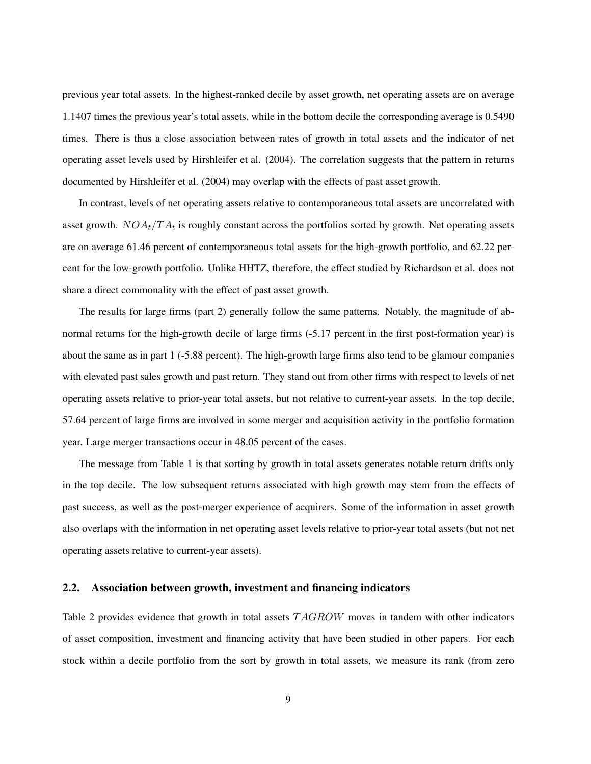previous year total assets. In the highest-ranked decile by asset growth, net operating assets are on average 1.1407 times the previous year's total assets, while in the bottom decile the corresponding average is 0.5490 times. There is thus a close association between rates of growth in total assets and the indicator of net operating asset levels used by Hirshleifer et al. (2004). The correlation suggests that the pattern in returns documented by Hirshleifer et al. (2004) may overlap with the effects of past asset growth.

In contrast, levels of net operating assets relative to contemporaneous total assets are uncorrelated with asset growth.  $NOA_t/TA_t$  is roughly constant across the portfolios sorted by growth. Net operating assets are on average 61.46 percent of contemporaneous total assets for the high-growth portfolio, and 62.22 percent for the low-growth portfolio. Unlike HHTZ, therefore, the effect studied by Richardson et al. does not share a direct commonality with the effect of past asset growth.

The results for large firms (part 2) generally follow the same patterns. Notably, the magnitude of abnormal returns for the high-growth decile of large firms (-5.17 percent in the first post-formation year) is about the same as in part 1 (-5.88 percent). The high-growth large firms also tend to be glamour companies with elevated past sales growth and past return. They stand out from other firms with respect to levels of net operating assets relative to prior-year total assets, but not relative to current-year assets. In the top decile, 57.64 percent of large firms are involved in some merger and acquisition activity in the portfolio formation year. Large merger transactions occur in 48.05 percent of the cases.

The message from Table 1 is that sorting by growth in total assets generates notable return drifts only in the top decile. The low subsequent returns associated with high growth may stem from the effects of past success, as well as the post-merger experience of acquirers. Some of the information in asset growth also overlaps with the information in net operating asset levels relative to prior-year total assets (but not net operating assets relative to current-year assets).

#### 2.2. Association between growth, investment and financing indicators

Table 2 provides evidence that growth in total assets  $TAGROW$  moves in tandem with other indicators of asset composition, investment and financing activity that have been studied in other papers. For each stock within a decile portfolio from the sort by growth in total assets, we measure its rank (from zero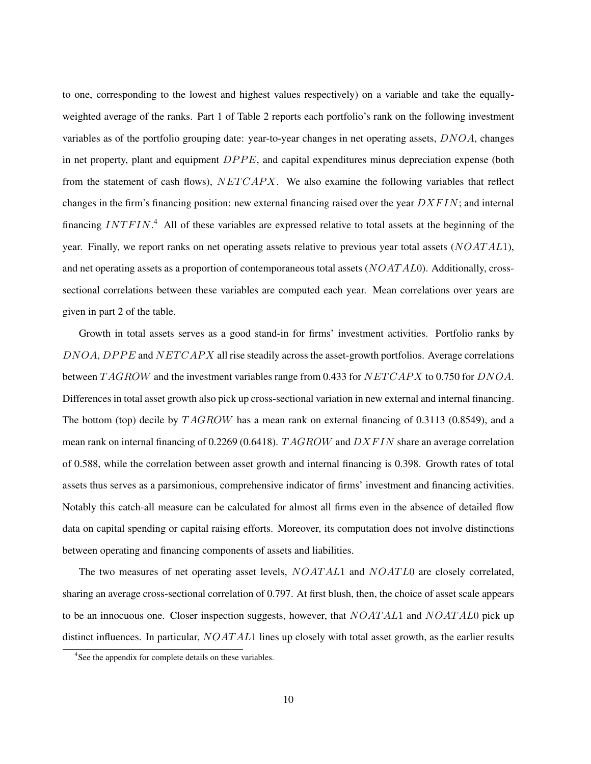to one, corresponding to the lowest and highest values respectively) on a variable and take the equallyweighted average of the ranks. Part 1 of Table 2 reports each portfolio's rank on the following investment variables as of the portfolio grouping date: year-to-year changes in net operating assets, DNOA, changes in net property, plant and equipment  $DPE$ , and capital expenditures minus depreciation expense (both from the statement of cash flows),  $NETCAPX$ . We also examine the following variables that reflect changes in the firm's financing position: new external financing raised over the year  $DXFIN$ ; and internal financing  $INTFIN<sup>4</sup>$ . All of these variables are expressed relative to total assets at the beginning of the year. Finally, we report ranks on net operating assets relative to previous year total assets  $(NOATAL1)$ , and net operating assets as a proportion of contemporaneous total assets  $(NOATAL0)$ . Additionally, crosssectional correlations between these variables are computed each year. Mean correlations over years are given in part 2 of the table.

Growth in total assets serves as a good stand-in for firms' investment activities. Portfolio ranks by  $DNOA$ ,  $DPE$  and  $NETCAPX$  all rise steadily across the asset-growth portfolios. Average correlations between  $TAGROW$  and the investment variables range from 0.433 for  $NETCAPX$  to 0.750 for DNOA. Differences in total asset growth also pick up cross-sectional variation in new external and internal financing. The bottom (top) decile by  $TAGROW$  has a mean rank on external financing of 0.3113 (0.8549), and a mean rank on internal financing of 0.2269 (0.6418).  $TAGROW$  and  $DXFIN$  share an average correlation of 0.588, while the correlation between asset growth and internal financing is 0.398. Growth rates of total assets thus serves as a parsimonious, comprehensive indicator of firms' investment and financing activities. Notably this catch-all measure can be calculated for almost all firms even in the absence of detailed flow data on capital spending or capital raising efforts. Moreover, its computation does not involve distinctions between operating and financing components of assets and liabilities.

The two measures of net operating asset levels,  $NOATAL1$  and  $NOATLO$  are closely correlated, sharing an average cross-sectional correlation of 0.797. At first blush, then, the choice of asset scale appears to be an innocuous one. Closer inspection suggests, however, that  $NOATAL1$  and  $NOATAL0$  pick up distinct influences. In particular,  $NOATAL1$  lines up closely with total asset growth, as the earlier results

<sup>&</sup>lt;sup>4</sup>See the appendix for complete details on these variables.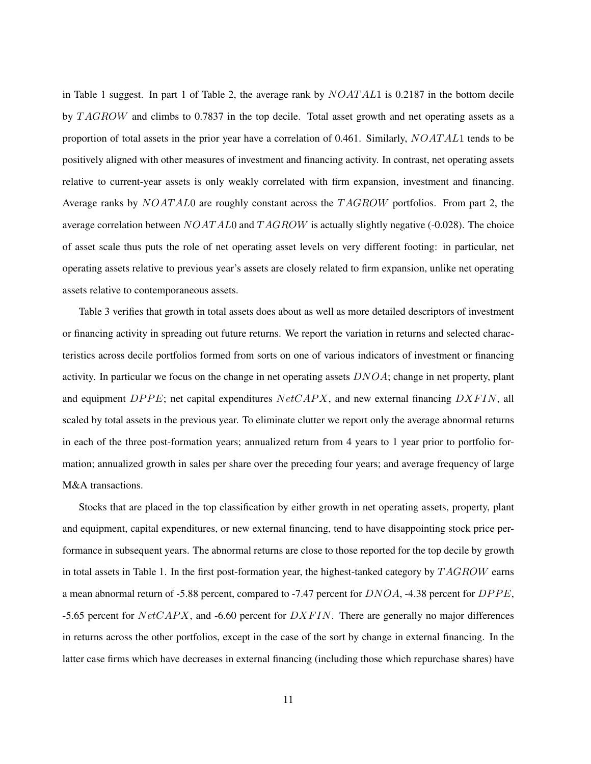in Table 1 suggest. In part 1 of Table 2, the average rank by  $NOATAL1$  is 0.2187 in the bottom decile by TAGROW and climbs to 0.7837 in the top decile. Total asset growth and net operating assets as a proportion of total assets in the prior year have a correlation of 0.461. Similarly, NOATAL1 tends to be positively aligned with other measures of investment and financing activity. In contrast, net operating assets relative to current-year assets is only weakly correlated with firm expansion, investment and financing. Average ranks by *NOATAL*0 are roughly constant across the *TAGROW* portfolios. From part 2, the average correlation between  $NOATAL0$  and  $TAGROW$  is actually slightly negative (-0.028). The choice of asset scale thus puts the role of net operating asset levels on very different footing: in particular, net operating assets relative to previous year's assets are closely related to firm expansion, unlike net operating assets relative to contemporaneous assets.

Table 3 verifies that growth in total assets does about as well as more detailed descriptors of investment or financing activity in spreading out future returns. We report the variation in returns and selected characteristics across decile portfolios formed from sorts on one of various indicators of investment or financing activity. In particular we focus on the change in net operating assets  $DNOA$ ; change in net property, plant and equipment  $D PPE$ ; net capital expenditures  $NetCAPX$ , and new external financing  $DXFIN$ , all scaled by total assets in the previous year. To eliminate clutter we report only the average abnormal returns in each of the three post-formation years; annualized return from 4 years to 1 year prior to portfolio formation; annualized growth in sales per share over the preceding four years; and average frequency of large M&A transactions.

Stocks that are placed in the top classification by either growth in net operating assets, property, plant and equipment, capital expenditures, or new external financing, tend to have disappointing stock price performance in subsequent years. The abnormal returns are close to those reported for the top decile by growth in total assets in Table 1. In the first post-formation year, the highest-tanked category by  $TAGROW$  earns a mean abnormal return of -5.88 percent, compared to -7.47 percent for  $DNOA$ , -4.38 percent for  $DPE$ , -5.65 percent for  $NetCAPX$ , and -6.60 percent for  $DXFIN$ . There are generally no major differences in returns across the other portfolios, except in the case of the sort by change in external financing. In the latter case firms which have decreases in external financing (including those which repurchase shares) have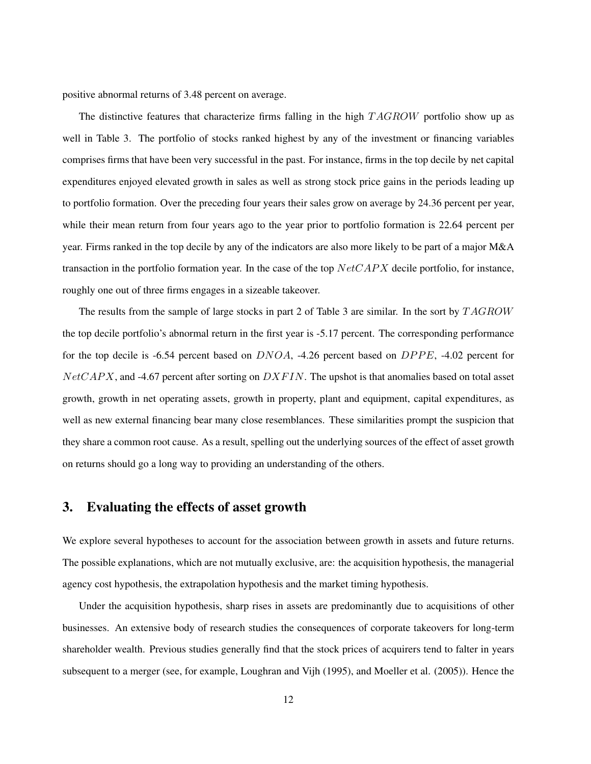positive abnormal returns of 3.48 percent on average.

The distinctive features that characterize firms falling in the high  $TAGROW$  portfolio show up as well in Table 3. The portfolio of stocks ranked highest by any of the investment or financing variables comprises firms that have been very successful in the past. For instance, firms in the top decile by net capital expenditures enjoyed elevated growth in sales as well as strong stock price gains in the periods leading up to portfolio formation. Over the preceding four years their sales grow on average by 24.36 percent per year, while their mean return from four years ago to the year prior to portfolio formation is 22.64 percent per year. Firms ranked in the top decile by any of the indicators are also more likely to be part of a major M&A transaction in the portfolio formation year. In the case of the top  $NetCAPX$  decile portfolio, for instance, roughly one out of three firms engages in a sizeable takeover.

The results from the sample of large stocks in part 2 of Table 3 are similar. In the sort by  $TAGROW$ the top decile portfolio's abnormal return in the first year is -5.17 percent. The corresponding performance for the top decile is -6.54 percent based on  $DNOA$ , -4.26 percent based on  $DPE$ , -4.02 percent for  $NetCAPX$ , and -4.67 percent after sorting on  $DXFIN$ . The upshot is that anomalies based on total asset growth, growth in net operating assets, growth in property, plant and equipment, capital expenditures, as well as new external financing bear many close resemblances. These similarities prompt the suspicion that they share a common root cause. As a result, spelling out the underlying sources of the effect of asset growth on returns should go a long way to providing an understanding of the others.

# 3. Evaluating the effects of asset growth

We explore several hypotheses to account for the association between growth in assets and future returns. The possible explanations, which are not mutually exclusive, are: the acquisition hypothesis, the managerial agency cost hypothesis, the extrapolation hypothesis and the market timing hypothesis.

Under the acquisition hypothesis, sharp rises in assets are predominantly due to acquisitions of other businesses. An extensive body of research studies the consequences of corporate takeovers for long-term shareholder wealth. Previous studies generally find that the stock prices of acquirers tend to falter in years subsequent to a merger (see, for example, Loughran and Vijh (1995), and Moeller et al. (2005)). Hence the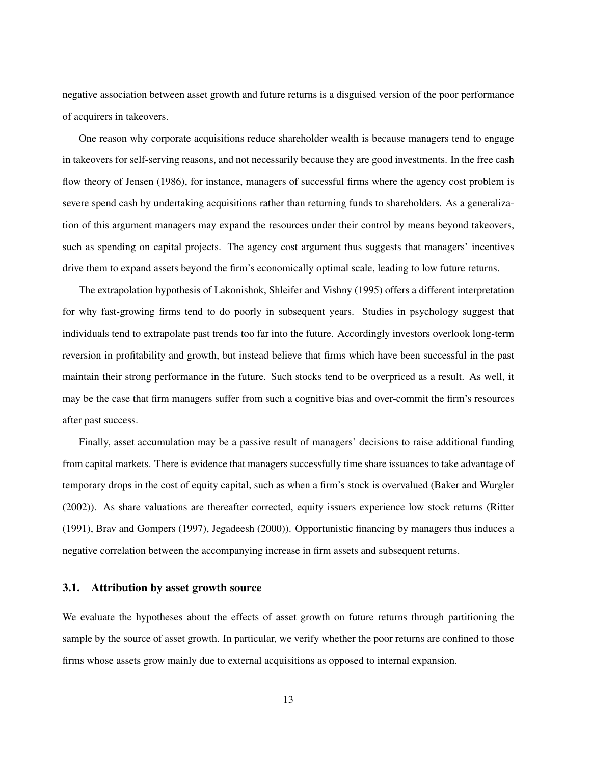negative association between asset growth and future returns is a disguised version of the poor performance of acquirers in takeovers.

One reason why corporate acquisitions reduce shareholder wealth is because managers tend to engage in takeovers for self-serving reasons, and not necessarily because they are good investments. In the free cash flow theory of Jensen (1986), for instance, managers of successful firms where the agency cost problem is severe spend cash by undertaking acquisitions rather than returning funds to shareholders. As a generalization of this argument managers may expand the resources under their control by means beyond takeovers, such as spending on capital projects. The agency cost argument thus suggests that managers' incentives drive them to expand assets beyond the firm's economically optimal scale, leading to low future returns.

The extrapolation hypothesis of Lakonishok, Shleifer and Vishny (1995) offers a different interpretation for why fast-growing firms tend to do poorly in subsequent years. Studies in psychology suggest that individuals tend to extrapolate past trends too far into the future. Accordingly investors overlook long-term reversion in profitability and growth, but instead believe that firms which have been successful in the past maintain their strong performance in the future. Such stocks tend to be overpriced as a result. As well, it may be the case that firm managers suffer from such a cognitive bias and over-commit the firm's resources after past success.

Finally, asset accumulation may be a passive result of managers' decisions to raise additional funding from capital markets. There is evidence that managers successfully time share issuances to take advantage of temporary drops in the cost of equity capital, such as when a firm's stock is overvalued (Baker and Wurgler (2002)). As share valuations are thereafter corrected, equity issuers experience low stock returns (Ritter (1991), Brav and Gompers (1997), Jegadeesh (2000)). Opportunistic financing by managers thus induces a negative correlation between the accompanying increase in firm assets and subsequent returns.

#### 3.1. Attribution by asset growth source

We evaluate the hypotheses about the effects of asset growth on future returns through partitioning the sample by the source of asset growth. In particular, we verify whether the poor returns are confined to those firms whose assets grow mainly due to external acquisitions as opposed to internal expansion.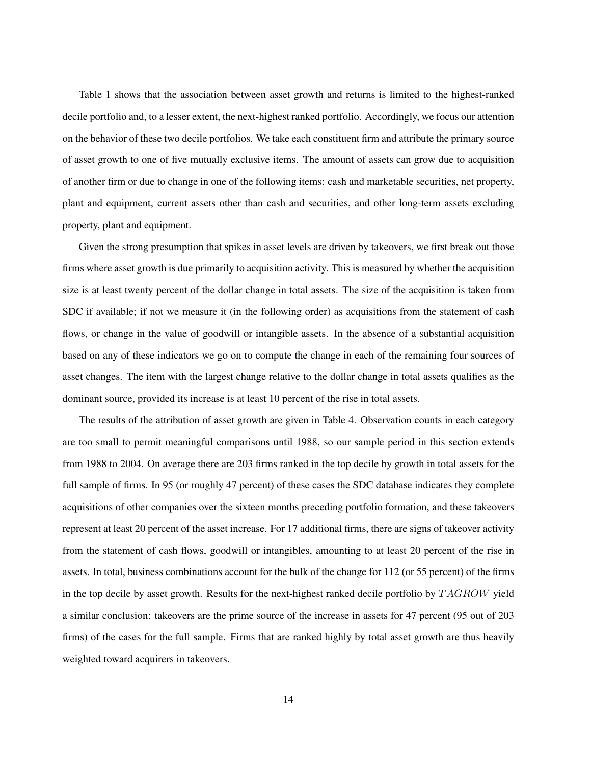Table 1 shows that the association between asset growth and returns is limited to the highest-ranked decile portfolio and, to a lesser extent, the next-highest ranked portfolio. Accordingly, we focus our attention on the behavior of these two decile portfolios. We take each constituent firm and attribute the primary source of asset growth to one of five mutually exclusive items. The amount of assets can grow due to acquisition of another firm or due to change in one of the following items: cash and marketable securities, net property, plant and equipment, current assets other than cash and securities, and other long-term assets excluding property, plant and equipment.

Given the strong presumption that spikes in asset levels are driven by takeovers, we first break out those firms where asset growth is due primarily to acquisition activity. This is measured by whether the acquisition size is at least twenty percent of the dollar change in total assets. The size of the acquisition is taken from SDC if available; if not we measure it (in the following order) as acquisitions from the statement of cash flows, or change in the value of goodwill or intangible assets. In the absence of a substantial acquisition based on any of these indicators we go on to compute the change in each of the remaining four sources of asset changes. The item with the largest change relative to the dollar change in total assets qualifies as the dominant source, provided its increase is at least 10 percent of the rise in total assets.

The results of the attribution of asset growth are given in Table 4. Observation counts in each category are too small to permit meaningful comparisons until 1988, so our sample period in this section extends from 1988 to 2004. On average there are 203 firms ranked in the top decile by growth in total assets for the full sample of firms. In 95 (or roughly 47 percent) of these cases the SDC database indicates they complete acquisitions of other companies over the sixteen months preceding portfolio formation, and these takeovers represent at least 20 percent of the asset increase. For 17 additional firms, there are signs of takeover activity from the statement of cash flows, goodwill or intangibles, amounting to at least 20 percent of the rise in assets. In total, business combinations account for the bulk of the change for 112 (or 55 percent) of the firms in the top decile by asset growth. Results for the next-highest ranked decile portfolio by  $TAGROW$  yield a similar conclusion: takeovers are the prime source of the increase in assets for 47 percent (95 out of 203 firms) of the cases for the full sample. Firms that are ranked highly by total asset growth are thus heavily weighted toward acquirers in takeovers.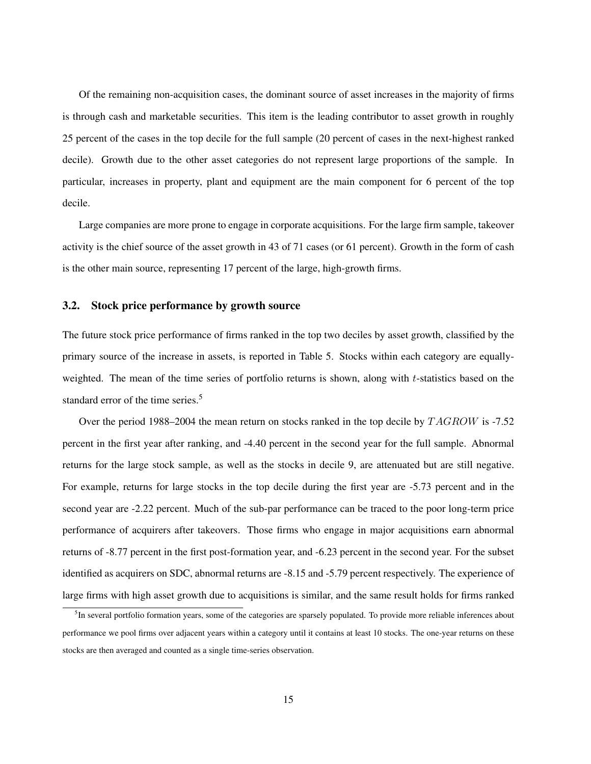Of the remaining non-acquisition cases, the dominant source of asset increases in the majority of firms is through cash and marketable securities. This item is the leading contributor to asset growth in roughly 25 percent of the cases in the top decile for the full sample (20 percent of cases in the next-highest ranked decile). Growth due to the other asset categories do not represent large proportions of the sample. In particular, increases in property, plant and equipment are the main component for 6 percent of the top decile.

Large companies are more prone to engage in corporate acquisitions. For the large firm sample, takeover activity is the chief source of the asset growth in 43 of 71 cases (or 61 percent). Growth in the form of cash is the other main source, representing 17 percent of the large, high-growth firms.

#### 3.2. Stock price performance by growth source

The future stock price performance of firms ranked in the top two deciles by asset growth, classified by the primary source of the increase in assets, is reported in Table 5. Stocks within each category are equallyweighted. The mean of the time series of portfolio returns is shown, along with t-statistics based on the standard error of the time series.<sup>5</sup>

Over the period 1988–2004 the mean return on stocks ranked in the top decile by TAGROW is -7.52 percent in the first year after ranking, and -4.40 percent in the second year for the full sample. Abnormal returns for the large stock sample, as well as the stocks in decile 9, are attenuated but are still negative. For example, returns for large stocks in the top decile during the first year are -5.73 percent and in the second year are -2.22 percent. Much of the sub-par performance can be traced to the poor long-term price performance of acquirers after takeovers. Those firms who engage in major acquisitions earn abnormal returns of -8.77 percent in the first post-formation year, and -6.23 percent in the second year. For the subset identified as acquirers on SDC, abnormal returns are -8.15 and -5.79 percent respectively. The experience of large firms with high asset growth due to acquisitions is similar, and the same result holds for firms ranked

<sup>&</sup>lt;sup>5</sup>In several portfolio formation years, some of the categories are sparsely populated. To provide more reliable inferences about performance we pool firms over adjacent years within a category until it contains at least 10 stocks. The one-year returns on these stocks are then averaged and counted as a single time-series observation.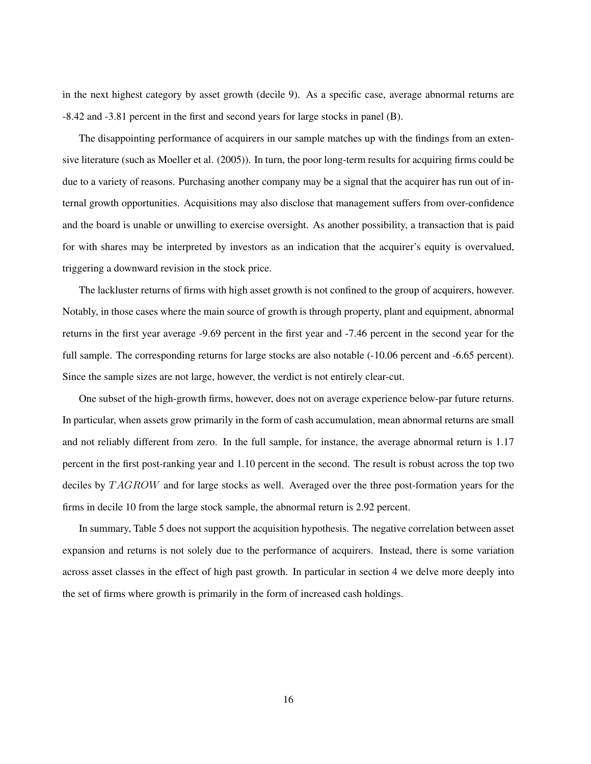in the next highest category by asset growth (decile 9). As a specific case, average abnormal returns are -8.42 and -3.81 percent in the first and second years for large stocks in panel (B).

The disappointing performance of acquirers in our sample matches up with the findings from an extensive literature (such as Moeller et al. (2005)). In turn, the poor long-term results for acquiring firms could be due to a variety of reasons. Purchasing another company may be a signal that the acquirer has run out of internal growth opportunities. Acquisitions may also disclose that management suffers from over-confidence and the board is unable or unwilling to exercise oversight. As another possibility, a transaction that is paid for with shares may be interpreted by investors as an indication that the acquirer's equity is overvalued, triggering a downward revision in the stock price.

The lackluster returns of firms with high asset growth is not confined to the group of acquirers, however. Notably, in those cases where the main source of growth is through property, plant and equipment, abnormal returns in the first year average -9.69 percent in the first year and -7.46 percent in the second year for the full sample. The corresponding returns for large stocks are also notable  $(-10.06$  percent and -6.65 percent). Since the sample sizes are not large, however, the verdict is not entirely clear-cut.

One subset of the high-growth firms, however, does not on average experience below-par future returns. In particular, when assets grow primarily in the form of cash accumulation, mean abnormal returns are small and not reliably different from zero. In the full sample, for instance, the average abnormal return is 1.17 percent in the first post-ranking year and 1.10 percent in the second. The result is robust across the top two deciles by  $TAGROW$  and for large stocks as well. Averaged over the three post-formation years for the firms in decile 10 from the large stock sample, the abnormal return is 2.92 percent.

In summary, Table 5 does not support the acquisition hypothesis. The negative correlation between asset expansion and returns is not solely due to the performance of acquirers. Instead, there is some variation across asset classes in the effect of high past growth. In particular in section 4 we delve more deeply into the set of firms where growth is primarily in the form of increased cash holdings.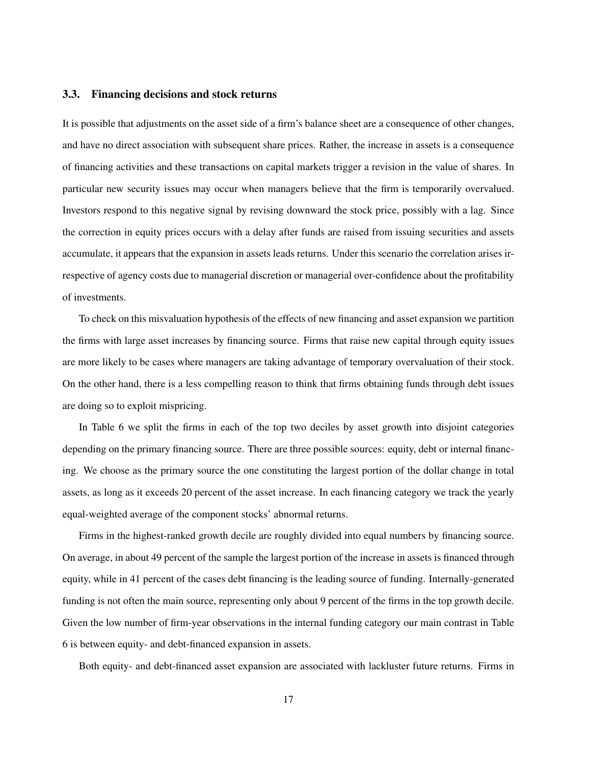## 3.3. Financing decisions and stock returns

It is possible that adjustments on the asset side of a firm's balance sheet are a consequence of other changes, and have no direct association with subsequent share prices. Rather, the increase in assets is a consequence of financing activities and these transactions on capital markets trigger a revision in the value of shares. In particular new security issues may occur when managers believe that the firm is temporarily overvalued. Investors respond to this negative signal by revising downward the stock price, possibly with a lag. Since the correction in equity prices occurs with a delay after funds are raised from issuing securities and assets accumulate, it appears that the expansion in assets leads returns. Under this scenario the correlation arises irrespective of agency costs due to managerial discretion or managerial over-confidence about the profitability of investments.

To check on this misvaluation hypothesis of the effects of new financing and asset expansion we partition the firms with large asset increases by financing source. Firms that raise new capital through equity issues are more likely to be cases where managers are taking advantage of temporary overvaluation of their stock. On the other hand, there is a less compelling reason to think that firms obtaining funds through debt issues are doing so to exploit mispricing.

In Table 6 we split the firms in each of the top two deciles by asset growth into disjoint categories depending on the primary financing source. There are three possible sources: equity, debt or internal financing. We choose as the primary source the one constituting the largest portion of the dollar change in total assets, as long as it exceeds 20 percent of the asset increase. In each financing category we track the yearly equal-weighted average of the component stocks' abnormal returns.

Firms in the highest-ranked growth decile are roughly divided into equal numbers by financing source. On average, in about 49 percent of the sample the largest portion of the increase in assets is financed through equity, while in 41 percent of the cases debt financing is the leading source of funding. Internally-generated funding is not often the main source, representing only about 9 percent of the firms in the top growth decile. Given the low number of firm-year observations in the internal funding category our main contrast in Table 6 is between equity- and debt-financed expansion in assets.

Both equity- and debt-financed asset expansion are associated with lackluster future returns. Firms in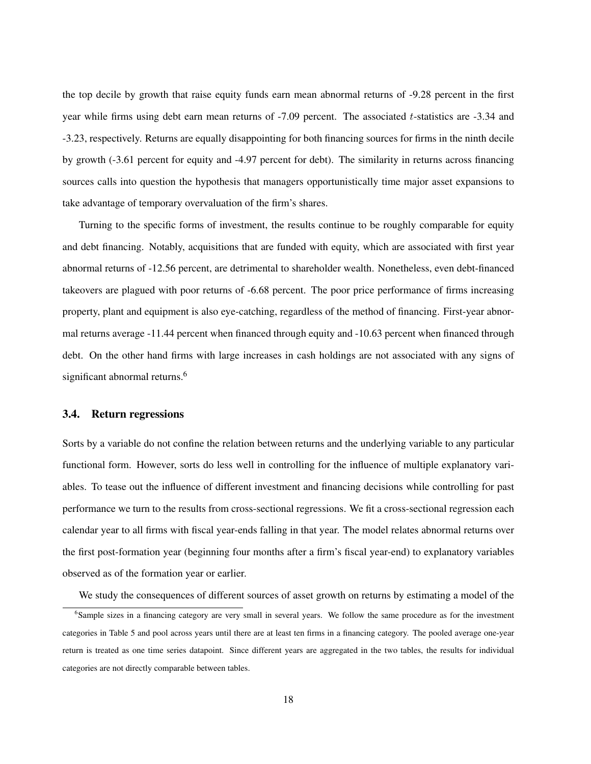the top decile by growth that raise equity funds earn mean abnormal returns of -9.28 percent in the first year while firms using debt earn mean returns of  $-7.09$  percent. The associated t-statistics are  $-3.34$  and -3.23, respectively. Returns are equally disappointing for both financing sources for firms in the ninth decile by growth (-3.61 percent for equity and -4.97 percent for debt). The similarity in returns across financing sources calls into question the hypothesis that managers opportunistically time major asset expansions to take advantage of temporary overvaluation of the firm's shares.

Turning to the specific forms of investment, the results continue to be roughly comparable for equity and debt financing. Notably, acquisitions that are funded with equity, which are associated with first year abnormal returns of -12.56 percent, are detrimental to shareholder wealth. Nonetheless, even debt-financed takeovers are plagued with poor returns of -6.68 percent. The poor price performance of firms increasing property, plant and equipment is also eye-catching, regardless of the method of financing. First-year abnormal returns average -11.44 percent when financed through equity and -10.63 percent when financed through debt. On the other hand firms with large increases in cash holdings are not associated with any signs of significant abnormal returns.<sup>6</sup>

## 3.4. Return regressions

Sorts by a variable do not confine the relation between returns and the underlying variable to any particular functional form. However, sorts do less well in controlling for the influence of multiple explanatory variables. To tease out the influence of different investment and financing decisions while controlling for past performance we turn to the results from cross-sectional regressions. We fit a cross-sectional regression each calendar year to all firms with fiscal year-ends falling in that year. The model relates abnormal returns over the first post-formation year (beginning four months after a firm's fiscal year-end) to explanatory variables observed as of the formation year or earlier.

We study the consequences of different sources of asset growth on returns by estimating a model of the

<sup>6</sup> Sample sizes in a financing category are very small in several years. We follow the same procedure as for the investment categories in Table 5 and pool across years until there are at least ten firms in a financing category. The pooled average one-year return is treated as one time series datapoint. Since different years are aggregated in the two tables, the results for individual categories are not directly comparable between tables.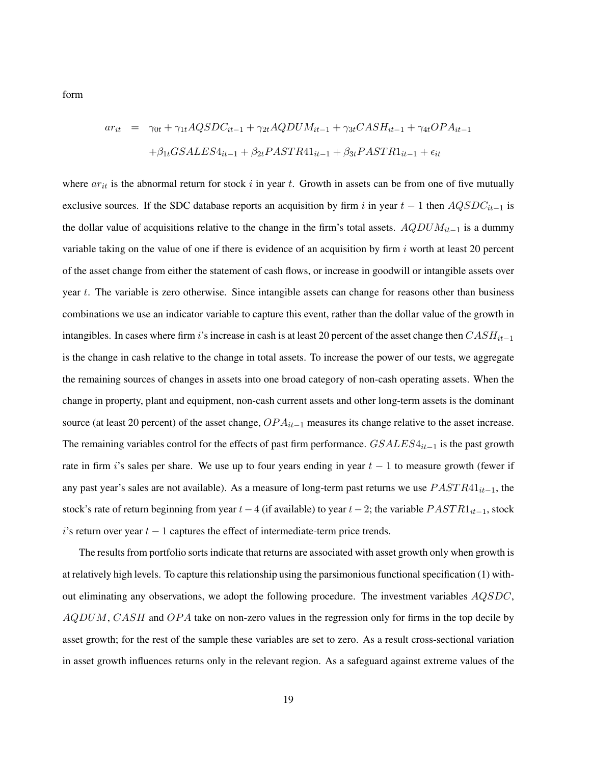form

$$
ar_{it} = \gamma_{0t} + \gamma_{1t}AQSDC_{it-1} + \gamma_{2t}AQDUM_{it-1} + \gamma_{3t}CASH_{it-1} + \gamma_{4t}OPA_{it-1}
$$

$$
+ \beta_{1t}GSALES4_{it-1} + \beta_{2t}PASTR41_{it-1} + \beta_{3t}PASTR1_{it-1} + \epsilon_{it}
$$

where  $ar_{it}$  is the abnormal return for stock i in year t. Growth in assets can be from one of five mutually exclusive sources. If the SDC database reports an acquisition by firm i in year  $t - 1$  then  $AQSDC_{it-1}$  is the dollar value of acquisitions relative to the change in the firm's total assets. AQDUM*it*−<sup>1</sup> is a dummy variable taking on the value of one if there is evidence of an acquisition by firm  $i$  worth at least 20 percent of the asset change from either the statement of cash flows, or increase in goodwill or intangible assets over year t. The variable is zero otherwise. Since intangible assets can change for reasons other than business combinations we use an indicator variable to capture this event, rather than the dollar value of the growth in intangibles. In cases where firm i's increase in cash is at least 20 percent of the asset change then CASH*it*−<sup>1</sup> is the change in cash relative to the change in total assets. To increase the power of our tests, we aggregate the remaining sources of changes in assets into one broad category of non-cash operating assets. When the change in property, plant and equipment, non-cash current assets and other long-term assets is the dominant source (at least 20 percent) of the asset change, OP A*it*−<sup>1</sup> measures its change relative to the asset increase. The remaining variables control for the effects of past firm performance. GSALES4*it*−<sup>1</sup> is the past growth rate in firm i's sales per share. We use up to four years ending in year  $t - 1$  to measure growth (fewer if any past year's sales are not available). As a measure of long-term past returns we use P AST R41*it*−1, the stock's rate of return beginning from year t−4 (if available) to year t−2; the variable P AST R1*it*−1, stock i's return over year  $t - 1$  captures the effect of intermediate-term price trends.

The results from portfolio sorts indicate that returns are associated with asset growth only when growth is at relatively high levels. To capture this relationship using the parsimonious functional specification (1) without eliminating any observations, we adopt the following procedure. The investment variables  $AQSDC$ ,  $AQDUM$ ,  $CASH$  and  $OPA$  take on non-zero values in the regression only for firms in the top decile by asset growth; for the rest of the sample these variables are set to zero. As a result cross-sectional variation in asset growth influences returns only in the relevant region. As a safeguard against extreme values of the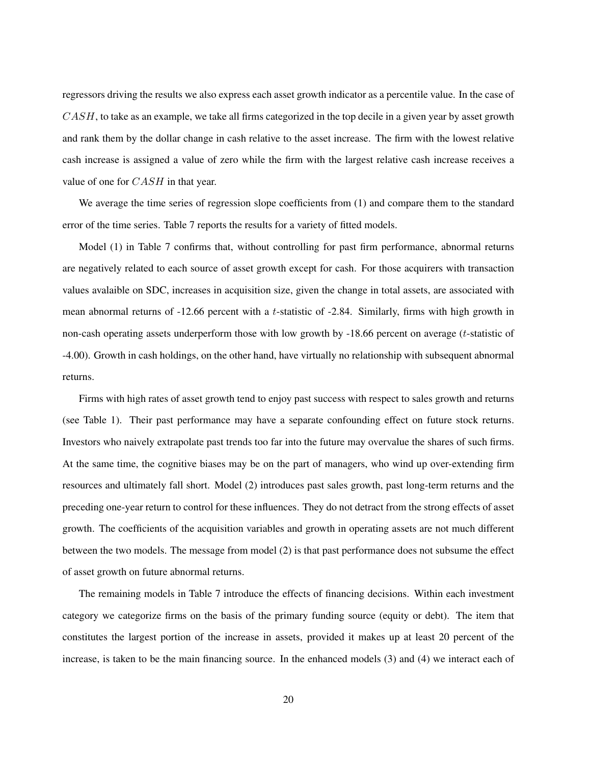regressors driving the results we also express each asset growth indicator as a percentile value. In the case of CASH, to take as an example, we take all firms categorized in the top decile in a given year by asset growth and rank them by the dollar change in cash relative to the asset increase. The firm with the lowest relative cash increase is assigned a value of zero while the firm with the largest relative cash increase receives a value of one for CASH in that year.

We average the time series of regression slope coefficients from (1) and compare them to the standard error of the time series. Table 7 reports the results for a variety of fitted models.

Model (1) in Table 7 confirms that, without controlling for past firm performance, abnormal returns are negatively related to each source of asset growth except for cash. For those acquirers with transaction values avalaible on SDC, increases in acquisition size, given the change in total assets, are associated with mean abnormal returns of -12.66 percent with a t-statistic of -2.84. Similarly, firms with high growth in non-cash operating assets underperform those with low growth by -18.66 percent on average (t-statistic of -4.00). Growth in cash holdings, on the other hand, have virtually no relationship with subsequent abnormal returns.

Firms with high rates of asset growth tend to enjoy past success with respect to sales growth and returns (see Table 1). Their past performance may have a separate confounding effect on future stock returns. Investors who naively extrapolate past trends too far into the future may overvalue the shares of such firms. At the same time, the cognitive biases may be on the part of managers, who wind up over-extending firm resources and ultimately fall short. Model (2) introduces past sales growth, past long-term returns and the preceding one-year return to control for these influences. They do not detract from the strong effects of asset growth. The coefficients of the acquisition variables and growth in operating assets are not much different between the two models. The message from model (2) is that past performance does not subsume the effect of asset growth on future abnormal returns.

The remaining models in Table 7 introduce the effects of financing decisions. Within each investment category we categorize firms on the basis of the primary funding source (equity or debt). The item that constitutes the largest portion of the increase in assets, provided it makes up at least 20 percent of the increase, is taken to be the main financing source. In the enhanced models (3) and (4) we interact each of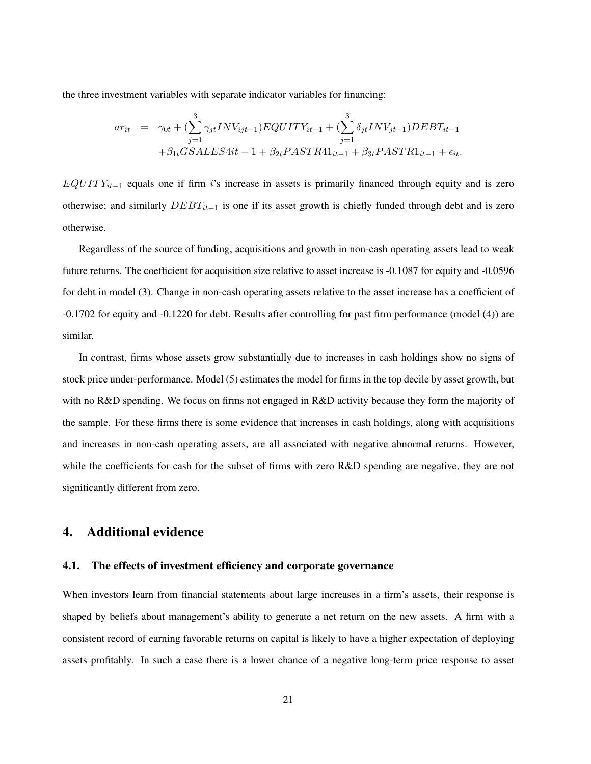the three investment variables with separate indicator variables for financing:

$$
ar_{it} = \gamma_{0t} + (\sum_{j=1}^{3} \gamma_{jt} INV_{ijt-1})EQUITY_{it-1} + (\sum_{j=1}^{3} \delta_{jt} INV_{jt-1}) DEBT_{it-1} + \beta_{1t} GSALES4it - 1 + \beta_{2t} PASTR41_{it-1} + \beta_{3t} PASTR1_{it-1} + \epsilon_{it}.
$$

 $EQUITY_{it-1}$  equals one if firm i's increase in assets is primarily financed through equity and is zero otherwise; and similarly DEBT*it*−<sup>1</sup> is one if its asset growth is chiefly funded through debt and is zero otherwise.

Regardless of the source of funding, acquisitions and growth in non-cash operating assets lead to weak future returns. The coefficient for acquisition size relative to asset increase is -0.1087 for equity and -0.0596 for debt in model (3). Change in non-cash operating assets relative to the asset increase has a coefficient of -0.1702 for equity and -0.1220 for debt. Results after controlling for past firm performance (model (4)) are similar.

In contrast, firms whose assets grow substantially due to increases in cash holdings show no signs of stock price under-performance. Model (5) estimates the model for firms in the top decile by asset growth, but with no R&D spending. We focus on firms not engaged in R&D activity because they form the majority of the sample. For these firms there is some evidence that increases in cash holdings, along with acquisitions and increases in non-cash operating assets, are all associated with negative abnormal returns. However, while the coefficients for cash for the subset of firms with zero R&D spending are negative, they are not significantly different from zero.

# 4. Additional evidence

#### 4.1. The effects of investment efficiency and corporate governance

When investors learn from financial statements about large increases in a firm's assets, their response is shaped by beliefs about management's ability to generate a net return on the new assets. A firm with a consistent record of earning favorable returns on capital is likely to have a higher expectation of deploying assets profitably. In such a case there is a lower chance of a negative long-term price response to asset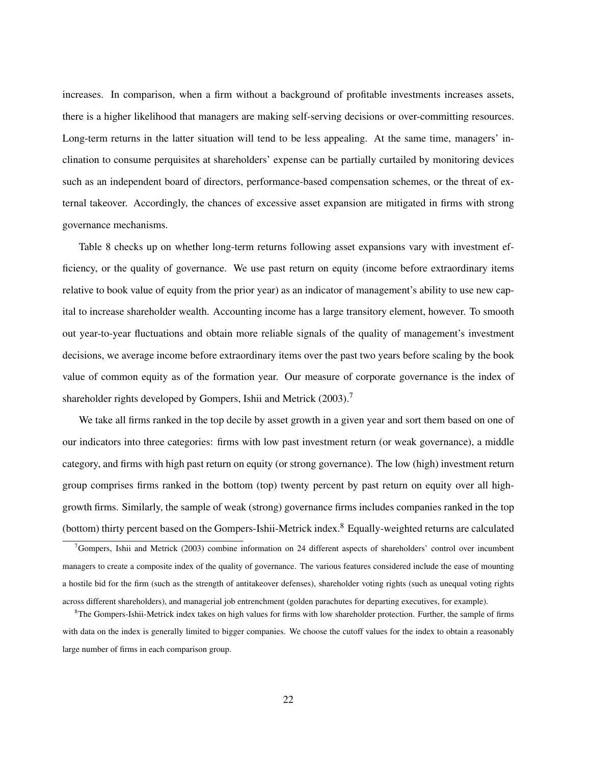increases. In comparison, when a firm without a background of profitable investments increases assets, there is a higher likelihood that managers are making self-serving decisions or over-committing resources. Long-term returns in the latter situation will tend to be less appealing. At the same time, managers' inclination to consume perquisites at shareholders' expense can be partially curtailed by monitoring devices such as an independent board of directors, performance-based compensation schemes, or the threat of external takeover. Accordingly, the chances of excessive asset expansion are mitigated in firms with strong governance mechanisms.

Table 8 checks up on whether long-term returns following asset expansions vary with investment efficiency, or the quality of governance. We use past return on equity (income before extraordinary items relative to book value of equity from the prior year) as an indicator of management's ability to use new capital to increase shareholder wealth. Accounting income has a large transitory element, however. To smooth out year-to-year fluctuations and obtain more reliable signals of the quality of management's investment decisions, we average income before extraordinary items over the past two years before scaling by the book value of common equity as of the formation year. Our measure of corporate governance is the index of shareholder rights developed by Gompers, Ishii and Metrick  $(2003).$ <sup>7</sup>

We take all firms ranked in the top decile by asset growth in a given year and sort them based on one of our indicators into three categories: firms with low past investment return (or weak governance), a middle category, and firms with high past return on equity (or strong governance). The low (high) investment return group comprises firms ranked in the bottom (top) twenty percent by past return on equity over all highgrowth firms. Similarly, the sample of weak (strong) governance firms includes companies ranked in the top (bottom) thirty percent based on the Gompers-Ishii-Metrick index.<sup>8</sup> Equally-weighted returns are calculated

<sup>7</sup> Gompers, Ishii and Metrick (2003) combine information on 24 different aspects of shareholders' control over incumbent managers to create a composite index of the quality of governance. The various features considered include the ease of mounting a hostile bid for the firm (such as the strength of antitakeover defenses), shareholder voting rights (such as unequal voting rights across different shareholders), and managerial job entrenchment (golden parachutes for departing executives, for example).

<sup>&</sup>lt;sup>8</sup>The Gompers-Ishii-Metrick index takes on high values for firms with low shareholder protection. Further, the sample of firms with data on the index is generally limited to bigger companies. We choose the cutoff values for the index to obtain a reasonably large number of firms in each comparison group.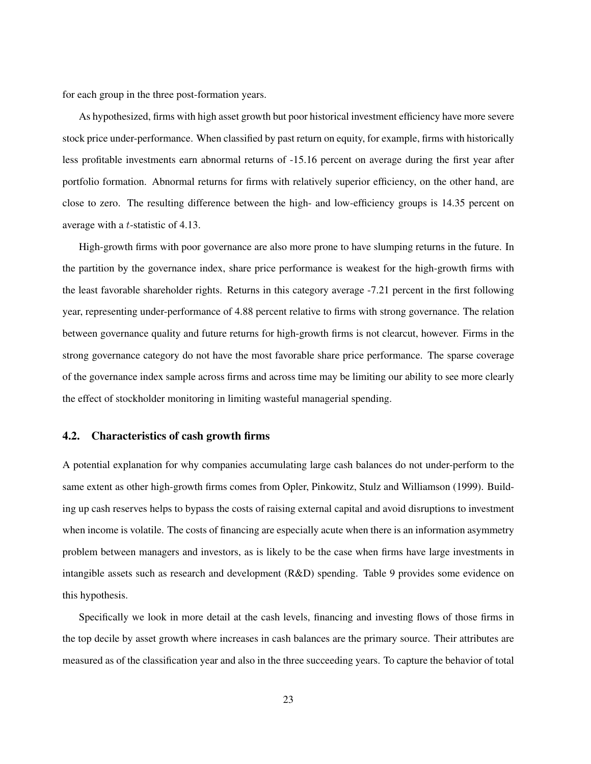for each group in the three post-formation years.

As hypothesized, firms with high asset growth but poor historical investment efficiency have more severe stock price under-performance. When classified by past return on equity, for example, firms with historically less profitable investments earn abnormal returns of -15.16 percent on average during the first year after portfolio formation. Abnormal returns for firms with relatively superior efficiency, on the other hand, are close to zero. The resulting difference between the high- and low-efficiency groups is 14.35 percent on average with a t-statistic of 4.13.

High-growth firms with poor governance are also more prone to have slumping returns in the future. In the partition by the governance index, share price performance is weakest for the high-growth firms with the least favorable shareholder rights. Returns in this category average -7.21 percent in the first following year, representing under-performance of 4.88 percent relative to firms with strong governance. The relation between governance quality and future returns for high-growth firms is not clearcut, however. Firms in the strong governance category do not have the most favorable share price performance. The sparse coverage of the governance index sample across firms and across time may be limiting our ability to see more clearly the effect of stockholder monitoring in limiting wasteful managerial spending.

## 4.2. Characteristics of cash growth firms

A potential explanation for why companies accumulating large cash balances do not under-perform to the same extent as other high-growth firms comes from Opler, Pinkowitz, Stulz and Williamson (1999). Building up cash reserves helps to bypass the costs of raising external capital and avoid disruptions to investment when income is volatile. The costs of financing are especially acute when there is an information asymmetry problem between managers and investors, as is likely to be the case when firms have large investments in intangible assets such as research and development (R&D) spending. Table 9 provides some evidence on this hypothesis.

Specifically we look in more detail at the cash levels, financing and investing flows of those firms in the top decile by asset growth where increases in cash balances are the primary source. Their attributes are measured as of the classification year and also in the three succeeding years. To capture the behavior of total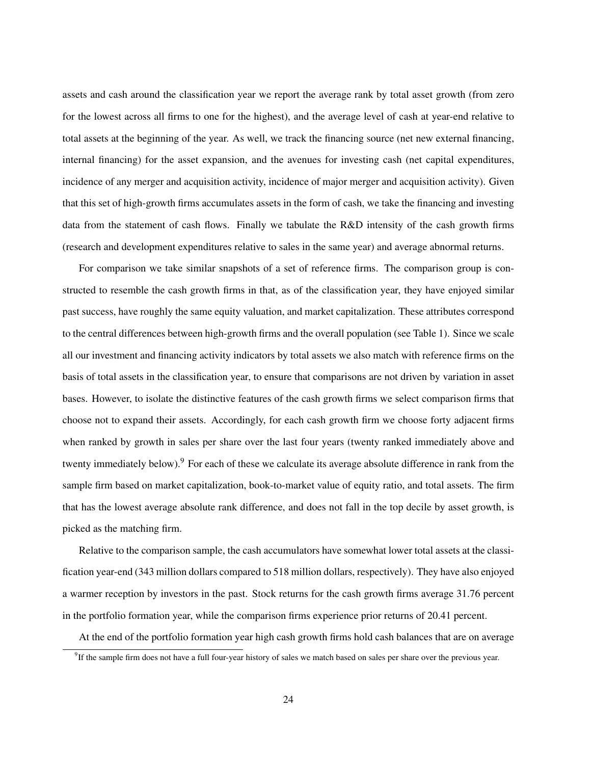assets and cash around the classification year we report the average rank by total asset growth (from zero for the lowest across all firms to one for the highest), and the average level of cash at year-end relative to total assets at the beginning of the year. As well, we track the financing source (net new external financing, internal financing) for the asset expansion, and the avenues for investing cash (net capital expenditures, incidence of any merger and acquisition activity, incidence of major merger and acquisition activity). Given that this set of high-growth firms accumulates assets in the form of cash, we take the financing and investing data from the statement of cash flows. Finally we tabulate the R&D intensity of the cash growth firms (research and development expenditures relative to sales in the same year) and average abnormal returns.

For comparison we take similar snapshots of a set of reference firms. The comparison group is constructed to resemble the cash growth firms in that, as of the classification year, they have enjoyed similar past success, have roughly the same equity valuation, and market capitalization. These attributes correspond to the central differences between high-growth firms and the overall population (see Table 1). Since we scale all our investment and financing activity indicators by total assets we also match with reference firms on the basis of total assets in the classification year, to ensure that comparisons are not driven by variation in asset bases. However, to isolate the distinctive features of the cash growth firms we select comparison firms that choose not to expand their assets. Accordingly, for each cash growth firm we choose forty adjacent firms when ranked by growth in sales per share over the last four years (twenty ranked immediately above and twenty immediately below).<sup>9</sup> For each of these we calculate its average absolute difference in rank from the sample firm based on market capitalization, book-to-market value of equity ratio, and total assets. The firm that has the lowest average absolute rank difference, and does not fall in the top decile by asset growth, is picked as the matching firm.

Relative to the comparison sample, the cash accumulators have somewhat lower total assets at the classification year-end (343 million dollars compared to 518 million dollars, respectively). They have also enjoyed a warmer reception by investors in the past. Stock returns for the cash growth firms average 31.76 percent in the portfolio formation year, while the comparison firms experience prior returns of 20.41 percent.

At the end of the portfolio formation year high cash growth firms hold cash balances that are on average

<sup>&</sup>lt;sup>9</sup>If the sample firm does not have a full four-year history of sales we match based on sales per share over the previous year.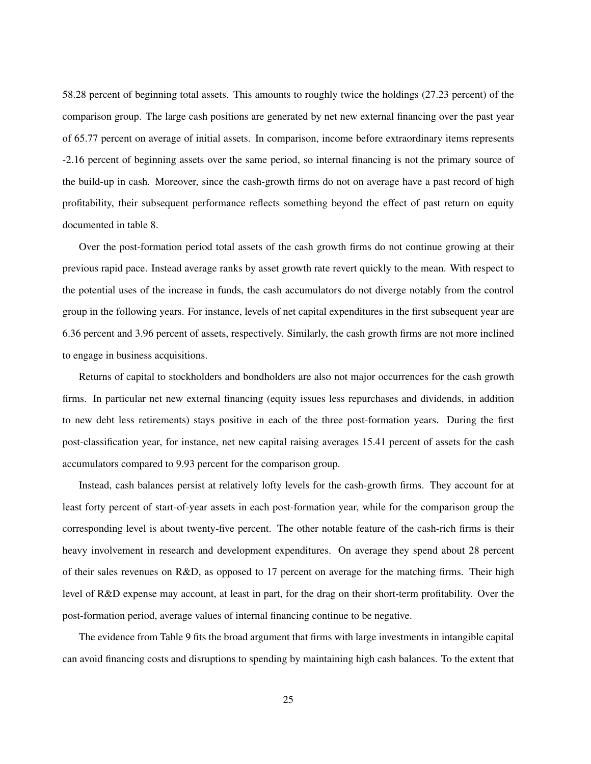58.28 percent of beginning total assets. This amounts to roughly twice the holdings (27.23 percent) of the comparison group. The large cash positions are generated by net new external financing over the past year of 65.77 percent on average of initial assets. In comparison, income before extraordinary items represents -2.16 percent of beginning assets over the same period, so internal financing is not the primary source of the build-up in cash. Moreover, since the cash-growth firms do not on average have a past record of high profitability, their subsequent performance reflects something beyond the effect of past return on equity documented in table 8.

Over the post-formation period total assets of the cash growth firms do not continue growing at their previous rapid pace. Instead average ranks by asset growth rate revert quickly to the mean. With respect to the potential uses of the increase in funds, the cash accumulators do not diverge notably from the control group in the following years. For instance, levels of net capital expenditures in the first subsequent year are 6.36 percent and 3.96 percent of assets, respectively. Similarly, the cash growth firms are not more inclined to engage in business acquisitions.

Returns of capital to stockholders and bondholders are also not major occurrences for the cash growth firms. In particular net new external financing (equity issues less repurchases and dividends, in addition to new debt less retirements) stays positive in each of the three post-formation years. During the first post-classification year, for instance, net new capital raising averages 15.41 percent of assets for the cash accumulators compared to 9.93 percent for the comparison group.

Instead, cash balances persist at relatively lofty levels for the cash-growth firms. They account for at least forty percent of start-of-year assets in each post-formation year, while for the comparison group the corresponding level is about twenty-five percent. The other notable feature of the cash-rich firms is their heavy involvement in research and development expenditures. On average they spend about 28 percent of their sales revenues on R&D, as opposed to 17 percent on average for the matching firms. Their high level of R&D expense may account, at least in part, for the drag on their short-term profitability. Over the post-formation period, average values of internal financing continue to be negative.

The evidence from Table 9 fits the broad argument that firms with large investments in intangible capital can avoid financing costs and disruptions to spending by maintaining high cash balances. To the extent that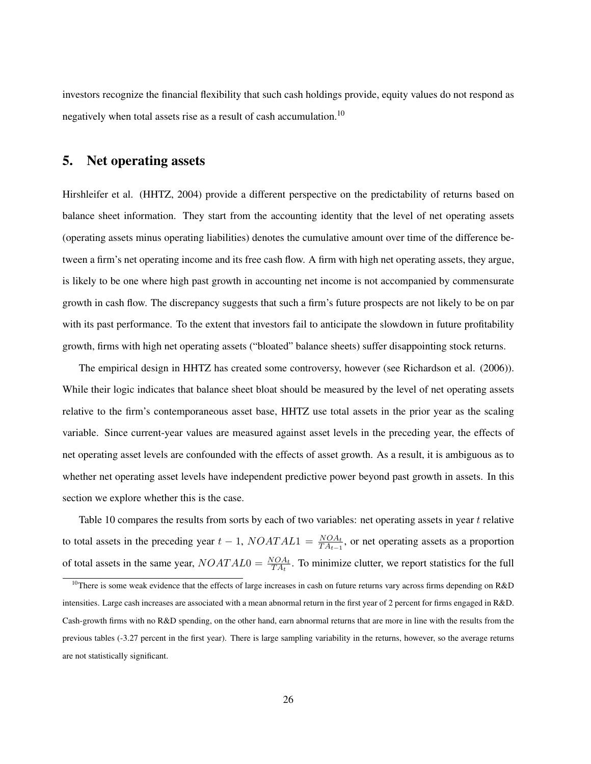investors recognize the financial flexibility that such cash holdings provide, equity values do not respond as negatively when total assets rise as a result of cash accumulation.<sup>10</sup>

# 5. Net operating assets

Hirshleifer et al. (HHTZ, 2004) provide a different perspective on the predictability of returns based on balance sheet information. They start from the accounting identity that the level of net operating assets (operating assets minus operating liabilities) denotes the cumulative amount over time of the difference between a firm's net operating income and its free cash flow. A firm with high net operating assets, they argue, is likely to be one where high past growth in accounting net income is not accompanied by commensurate growth in cash flow. The discrepancy suggests that such a firm's future prospects are not likely to be on par with its past performance. To the extent that investors fail to anticipate the slowdown in future profitability growth, firms with high net operating assets ("bloated" balance sheets) suffer disappointing stock returns.

The empirical design in HHTZ has created some controversy, however (see Richardson et al. (2006)). While their logic indicates that balance sheet bloat should be measured by the level of net operating assets relative to the firm's contemporaneous asset base, HHTZ use total assets in the prior year as the scaling variable. Since current-year values are measured against asset levels in the preceding year, the effects of net operating asset levels are confounded with the effects of asset growth. As a result, it is ambiguous as to whether net operating asset levels have independent predictive power beyond past growth in assets. In this section we explore whether this is the case.

Table 10 compares the results from sorts by each of two variables: net operating assets in year  $t$  relative to total assets in the preceding year  $t - 1$ ,  $NOATAL1 = \frac{NOA_t}{TA_{t-1}}$ , or net operating assets as a proportion of total assets in the same year,  $NOATAL0 = \frac{NOA_t}{TA_t}$ . To minimize clutter, we report statistics for the full

 $10$ There is some weak evidence that the effects of large increases in cash on future returns vary across firms depending on R&D intensities. Large cash increases are associated with a mean abnormal return in the first year of 2 percent for firms engaged in R&D. Cash-growth firms with no R&D spending, on the other hand, earn abnormal returns that are more in line with the results from the previous tables (-3.27 percent in the first year). There is large sampling variability in the returns, however, so the average returns are not statistically significant.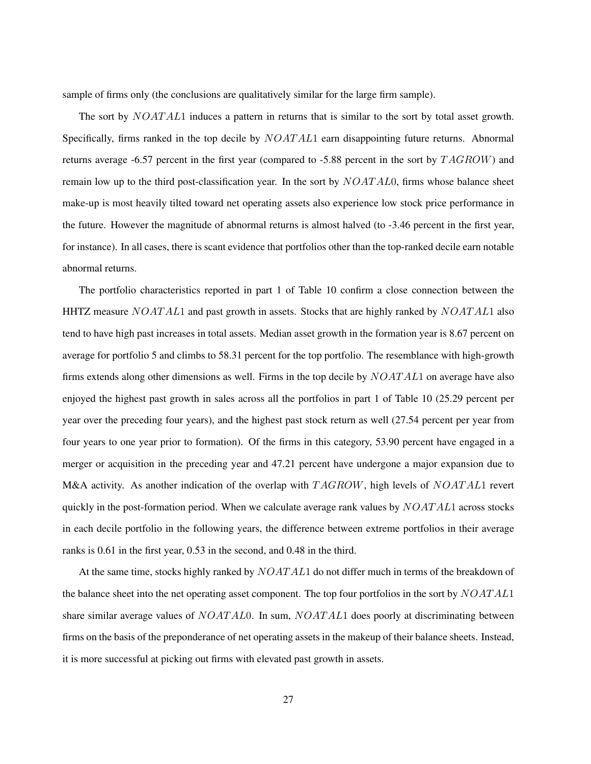sample of firms only (the conclusions are qualitatively similar for the large firm sample).

The sort by  $NOATAL1$  induces a pattern in returns that is similar to the sort by total asset growth. Specifically, firms ranked in the top decile by  $NOATAL1$  earn disappointing future returns. Abnormal returns average -6.57 percent in the first year (compared to -5.88 percent in the sort by  $TAGROW$ ) and remain low up to the third post-classification year. In the sort by  $NOATAL0$ , firms whose balance sheet make-up is most heavily tilted toward net operating assets also experience low stock price performance in the future. However the magnitude of abnormal returns is almost halved (to -3.46 percent in the first year, for instance). In all cases, there is scant evidence that portfolios other than the top-ranked decile earn notable abnormal returns.

The portfolio characteristics reported in part 1 of Table 10 confirm a close connection between the HHTZ measure  $NOATAL1$  and past growth in assets. Stocks that are highly ranked by  $NOATAL1$  also tend to have high past increases in total assets. Median asset growth in the formation year is 8.67 percent on average for portfolio 5 and climbs to 58.31 percent for the top portfolio. The resemblance with high-growth firms extends along other dimensions as well. Firms in the top decile by  $NOATAL1$  on average have also enjoyed the highest past growth in sales across all the portfolios in part 1 of Table 10 (25.29 percent per year over the preceding four years), and the highest past stock return as well (27.54 percent per year from four years to one year prior to formation). Of the firms in this category, 53.90 percent have engaged in a merger or acquisition in the preceding year and 47.21 percent have undergone a major expansion due to M&A activity. As another indication of the overlap with  $TAGROW$ , high levels of  $NOATAL1$  revert quickly in the post-formation period. When we calculate average rank values by  $NOATAL1$  across stocks in each decile portfolio in the following years, the difference between extreme portfolios in their average ranks is 0.61 in the first year, 0.53 in the second, and 0.48 in the third.

At the same time, stocks highly ranked by  $NOATAL1$  do not differ much in terms of the breakdown of the balance sheet into the net operating asset component. The top four portfolios in the sort by NOATAL1 share similar average values of NOATAL0. In sum, NOATAL1 does poorly at discriminating between firms on the basis of the preponderance of net operating assets in the makeup of their balance sheets. Instead, it is more successful at picking out firms with elevated past growth in assets.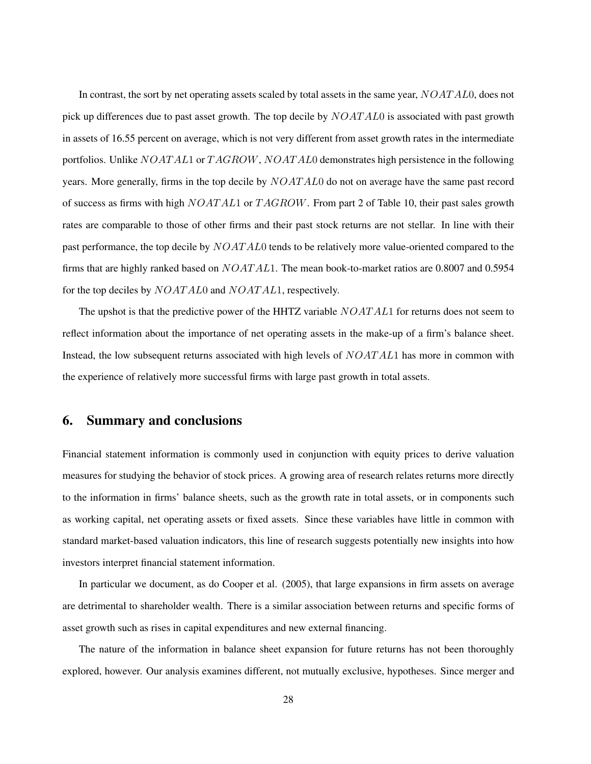In contrast, the sort by net operating assets scaled by total assets in the same year,  $NOATAL0$ , does not pick up differences due to past asset growth. The top decile by  $NOATAL0$  is associated with past growth in assets of 16.55 percent on average, which is not very different from asset growth rates in the intermediate portfolios. Unlike NOATAL1 or TAGROW, NOATAL0 demonstrates high persistence in the following years. More generally, firms in the top decile by  $NOATAL0$  do not on average have the same past record of success as firms with high  $NOATAL1$  or  $TAGROW$ . From part 2 of Table 10, their past sales growth rates are comparable to those of other firms and their past stock returns are not stellar. In line with their past performance, the top decile by  $NOATAL0$  tends to be relatively more value-oriented compared to the firms that are highly ranked based on  $NOATAL1$ . The mean book-to-market ratios are 0.8007 and 0.5954 for the top deciles by *NOATAL*0 and *NOATAL*1, respectively.

The upshot is that the predictive power of the HHTZ variable NOAT AL1 for returns does not seem to reflect information about the importance of net operating assets in the make-up of a firm's balance sheet. Instead, the low subsequent returns associated with high levels of NOAT AL1 has more in common with the experience of relatively more successful firms with large past growth in total assets.

# 6. Summary and conclusions

Financial statement information is commonly used in conjunction with equity prices to derive valuation measures for studying the behavior of stock prices. A growing area of research relates returns more directly to the information in firms' balance sheets, such as the growth rate in total assets, or in components such as working capital, net operating assets or fixed assets. Since these variables have little in common with standard market-based valuation indicators, this line of research suggests potentially new insights into how investors interpret financial statement information.

In particular we document, as do Cooper et al. (2005), that large expansions in firm assets on average are detrimental to shareholder wealth. There is a similar association between returns and specific forms of asset growth such as rises in capital expenditures and new external financing.

The nature of the information in balance sheet expansion for future returns has not been thoroughly explored, however. Our analysis examines different, not mutually exclusive, hypotheses. Since merger and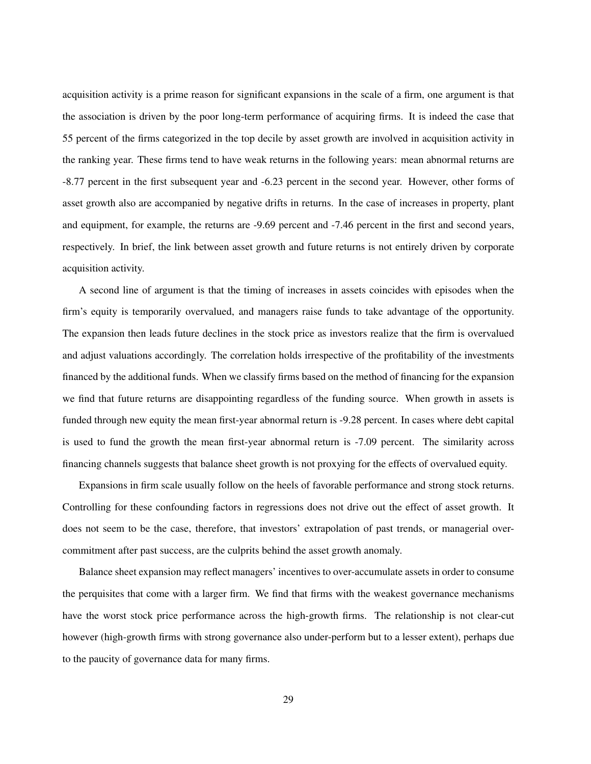acquisition activity is a prime reason for significant expansions in the scale of a firm, one argument is that the association is driven by the poor long-term performance of acquiring firms. It is indeed the case that 55 percent of the firms categorized in the top decile by asset growth are involved in acquisition activity in the ranking year. These firms tend to have weak returns in the following years: mean abnormal returns are -8.77 percent in the first subsequent year and -6.23 percent in the second year. However, other forms of asset growth also are accompanied by negative drifts in returns. In the case of increases in property, plant and equipment, for example, the returns are -9.69 percent and -7.46 percent in the first and second years, respectively. In brief, the link between asset growth and future returns is not entirely driven by corporate acquisition activity.

A second line of argument is that the timing of increases in assets coincides with episodes when the firm's equity is temporarily overvalued, and managers raise funds to take advantage of the opportunity. The expansion then leads future declines in the stock price as investors realize that the firm is overvalued and adjust valuations accordingly. The correlation holds irrespective of the profitability of the investments financed by the additional funds. When we classify firms based on the method of financing for the expansion we find that future returns are disappointing regardless of the funding source. When growth in assets is funded through new equity the mean first-year abnormal return is -9.28 percent. In cases where debt capital is used to fund the growth the mean first-year abnormal return is -7.09 percent. The similarity across financing channels suggests that balance sheet growth is not proxying for the effects of overvalued equity.

Expansions in firm scale usually follow on the heels of favorable performance and strong stock returns. Controlling for these confounding factors in regressions does not drive out the effect of asset growth. It does not seem to be the case, therefore, that investors' extrapolation of past trends, or managerial overcommitment after past success, are the culprits behind the asset growth anomaly.

Balance sheet expansion may reflect managers' incentives to over-accumulate assets in order to consume the perquisites that come with a larger firm. We find that firms with the weakest governance mechanisms have the worst stock price performance across the high-growth firms. The relationship is not clear-cut however (high-growth firms with strong governance also under-perform but to a lesser extent), perhaps due to the paucity of governance data for many firms.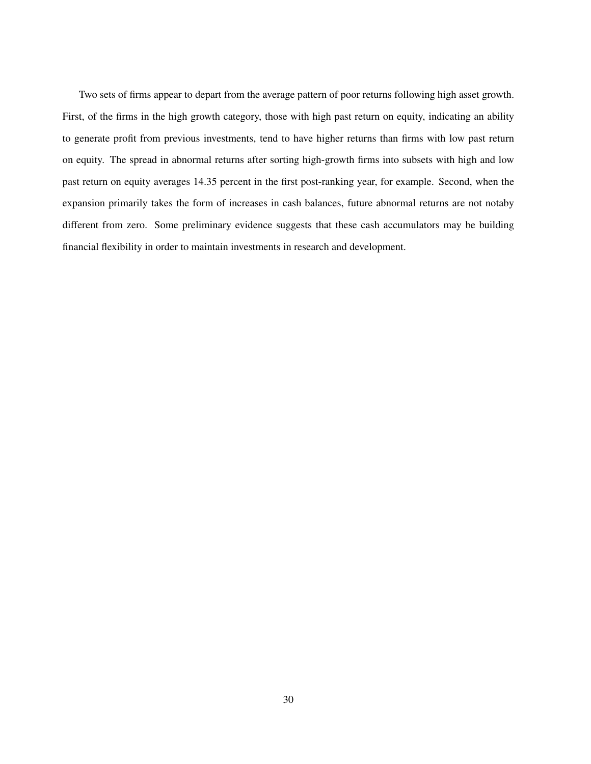Two sets of firms appear to depart from the average pattern of poor returns following high asset growth. First, of the firms in the high growth category, those with high past return on equity, indicating an ability to generate profit from previous investments, tend to have higher returns than firms with low past return on equity. The spread in abnormal returns after sorting high-growth firms into subsets with high and low past return on equity averages 14.35 percent in the first post-ranking year, for example. Second, when the expansion primarily takes the form of increases in cash balances, future abnormal returns are not notaby different from zero. Some preliminary evidence suggests that these cash accumulators may be building financial flexibility in order to maintain investments in research and development.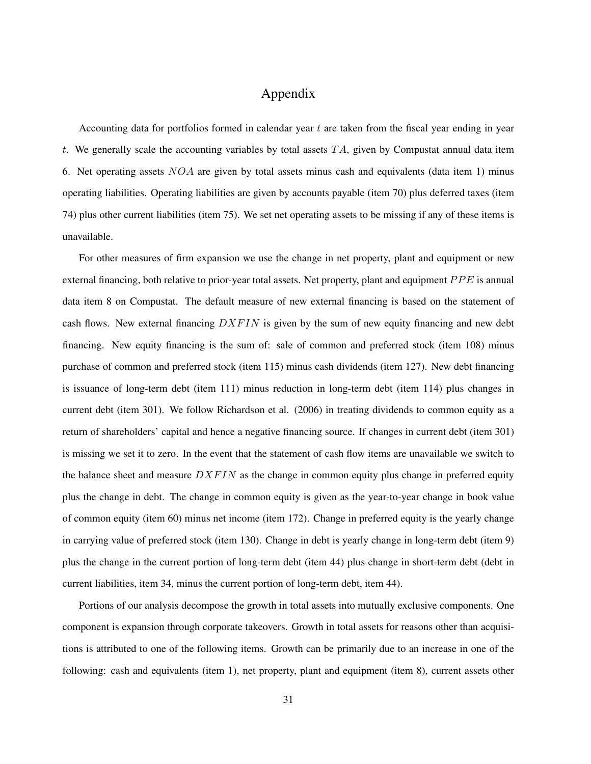# Appendix

Accounting data for portfolios formed in calendar year  $t$  are taken from the fiscal year ending in year t. We generally scale the accounting variables by total assets  $TA$ , given by Compustat annual data item 6. Net operating assets  $NOA$  are given by total assets minus cash and equivalents (data item 1) minus operating liabilities. Operating liabilities are given by accounts payable (item 70) plus deferred taxes (item 74) plus other current liabilities (item 75). We set net operating assets to be missing if any of these items is unavailable.

For other measures of firm expansion we use the change in net property, plant and equipment or new external financing, both relative to prior-year total assets. Net property, plant and equipment PPE is annual data item 8 on Compustat. The default measure of new external financing is based on the statement of cash flows. New external financing  $DXFIN$  is given by the sum of new equity financing and new debt financing. New equity financing is the sum of: sale of common and preferred stock (item 108) minus purchase of common and preferred stock (item 115) minus cash dividends (item 127). New debt financing is issuance of long-term debt (item 111) minus reduction in long-term debt (item 114) plus changes in current debt (item 301). We follow Richardson et al. (2006) in treating dividends to common equity as a return of shareholders' capital and hence a negative financing source. If changes in current debt (item 301) is missing we set it to zero. In the event that the statement of cash flow items are unavailable we switch to the balance sheet and measure  $DXFIN$  as the change in common equity plus change in preferred equity plus the change in debt. The change in common equity is given as the year-to-year change in book value of common equity (item 60) minus net income (item 172). Change in preferred equity is the yearly change in carrying value of preferred stock (item 130). Change in debt is yearly change in long-term debt (item 9) plus the change in the current portion of long-term debt (item 44) plus change in short-term debt (debt in current liabilities, item 34, minus the current portion of long-term debt, item 44).

Portions of our analysis decompose the growth in total assets into mutually exclusive components. One component is expansion through corporate takeovers. Growth in total assets for reasons other than acquisitions is attributed to one of the following items. Growth can be primarily due to an increase in one of the following: cash and equivalents (item 1), net property, plant and equipment (item 8), current assets other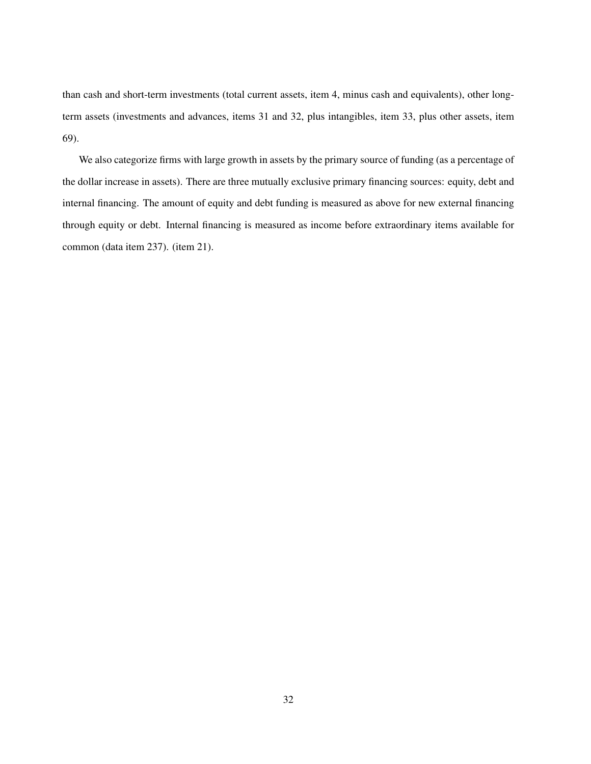than cash and short-term investments (total current assets, item 4, minus cash and equivalents), other longterm assets (investments and advances, items 31 and 32, plus intangibles, item 33, plus other assets, item 69).

We also categorize firms with large growth in assets by the primary source of funding (as a percentage of the dollar increase in assets). There are three mutually exclusive primary financing sources: equity, debt and internal financing. The amount of equity and debt funding is measured as above for new external financing through equity or debt. Internal financing is measured as income before extraordinary items available for common (data item 237). (item 21).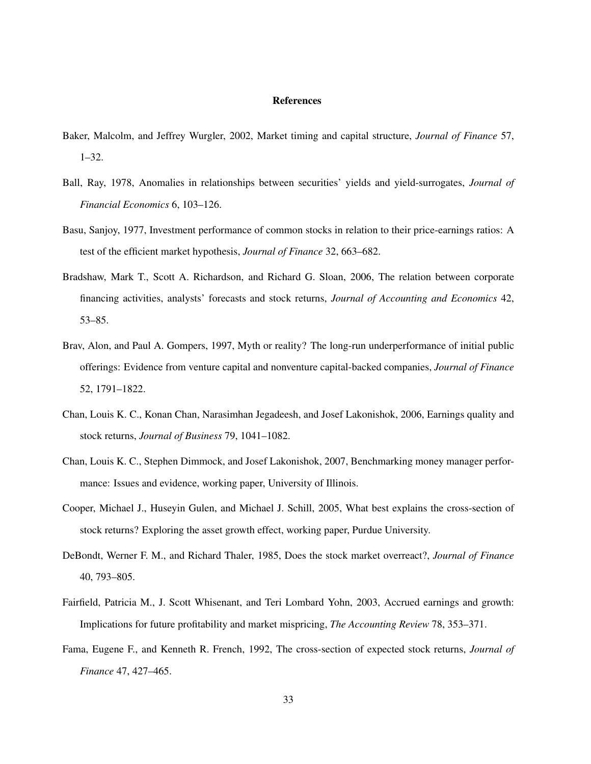#### References

- Baker, Malcolm, and Jeffrey Wurgler, 2002, Market timing and capital structure, *Journal of Finance* 57, 1–32.
- Ball, Ray, 1978, Anomalies in relationships between securities' yields and yield-surrogates, *Journal of Financial Economics* 6, 103–126.
- Basu, Sanjoy, 1977, Investment performance of common stocks in relation to their price-earnings ratios: A test of the efficient market hypothesis, *Journal of Finance* 32, 663–682.
- Bradshaw, Mark T., Scott A. Richardson, and Richard G. Sloan, 2006, The relation between corporate financing activities, analysts' forecasts and stock returns, *Journal of Accounting and Economics* 42, 53–85.
- Brav, Alon, and Paul A. Gompers, 1997, Myth or reality? The long-run underperformance of initial public offerings: Evidence from venture capital and nonventure capital-backed companies, *Journal of Finance* 52, 1791–1822.
- Chan, Louis K. C., Konan Chan, Narasimhan Jegadeesh, and Josef Lakonishok, 2006, Earnings quality and stock returns, *Journal of Business* 79, 1041–1082.
- Chan, Louis K. C., Stephen Dimmock, and Josef Lakonishok, 2007, Benchmarking money manager performance: Issues and evidence, working paper, University of Illinois.
- Cooper, Michael J., Huseyin Gulen, and Michael J. Schill, 2005, What best explains the cross-section of stock returns? Exploring the asset growth effect, working paper, Purdue University.
- DeBondt, Werner F. M., and Richard Thaler, 1985, Does the stock market overreact?, *Journal of Finance* 40, 793–805.
- Fairfield, Patricia M., J. Scott Whisenant, and Teri Lombard Yohn, 2003, Accrued earnings and growth: Implications for future profitability and market mispricing, *The Accounting Review* 78, 353–371.
- Fama, Eugene F., and Kenneth R. French, 1992, The cross-section of expected stock returns, *Journal of Finance* 47, 427–465.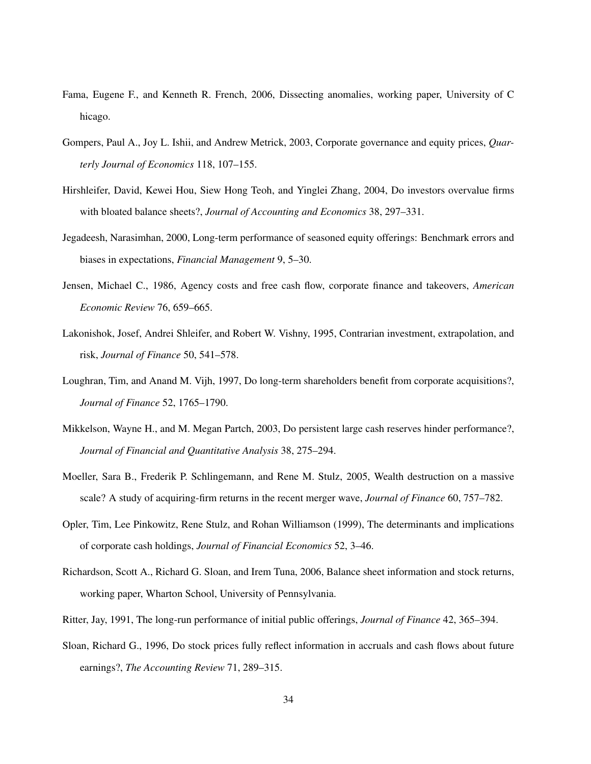- Fama, Eugene F., and Kenneth R. French, 2006, Dissecting anomalies, working paper, University of C hicago.
- Gompers, Paul A., Joy L. Ishii, and Andrew Metrick, 2003, Corporate governance and equity prices, *Quarterly Journal of Economics* 118, 107–155.
- Hirshleifer, David, Kewei Hou, Siew Hong Teoh, and Yinglei Zhang, 2004, Do investors overvalue firms with bloated balance sheets?, *Journal of Accounting and Economics* 38, 297–331.
- Jegadeesh, Narasimhan, 2000, Long-term performance of seasoned equity offerings: Benchmark errors and biases in expectations, *Financial Management* 9, 5–30.
- Jensen, Michael C., 1986, Agency costs and free cash flow, corporate finance and takeovers, *American Economic Review* 76, 659–665.
- Lakonishok, Josef, Andrei Shleifer, and Robert W. Vishny, 1995, Contrarian investment, extrapolation, and risk, *Journal of Finance* 50, 541–578.
- Loughran, Tim, and Anand M. Vijh, 1997, Do long-term shareholders benefit from corporate acquisitions?, *Journal of Finance* 52, 1765–1790.
- Mikkelson, Wayne H., and M. Megan Partch, 2003, Do persistent large cash reserves hinder performance?, *Journal of Financial and Quantitative Analysis* 38, 275–294.
- Moeller, Sara B., Frederik P. Schlingemann, and Rene M. Stulz, 2005, Wealth destruction on a massive scale? A study of acquiring-firm returns in the recent merger wave, *Journal of Finance* 60, 757–782.
- Opler, Tim, Lee Pinkowitz, Rene Stulz, and Rohan Williamson (1999), The determinants and implications of corporate cash holdings, *Journal of Financial Economics* 52, 3–46.
- Richardson, Scott A., Richard G. Sloan, and Irem Tuna, 2006, Balance sheet information and stock returns, working paper, Wharton School, University of Pennsylvania.
- Ritter, Jay, 1991, The long-run performance of initial public offerings, *Journal of Finance* 42, 365–394.
- Sloan, Richard G., 1996, Do stock prices fully reflect information in accruals and cash flows about future earnings?, *The Accounting Review* 71, 289–315.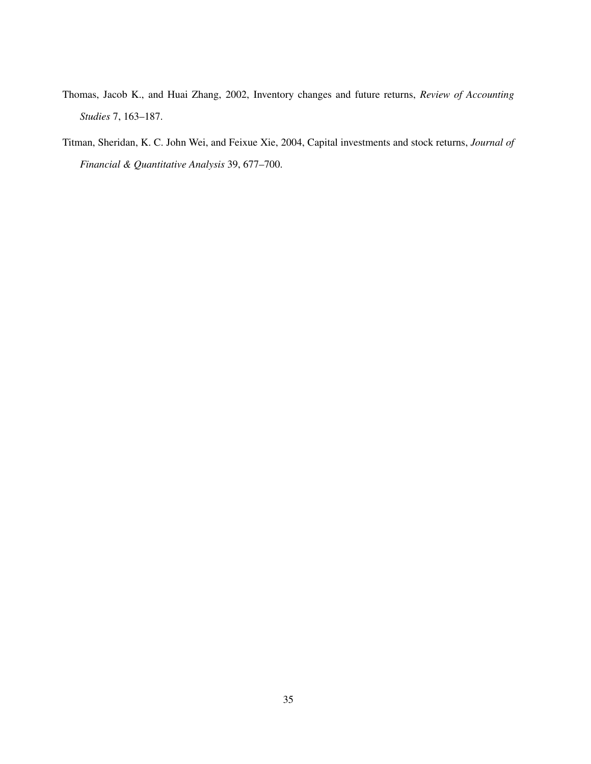- Thomas, Jacob K., and Huai Zhang, 2002, Inventory changes and future returns, *Review of Accounting Studies* 7, 163–187.
- Titman, Sheridan, K. C. John Wei, and Feixue Xie, 2004, Capital investments and stock returns, *Journal of Financial & Quantitative Analysis* 39, 677–700.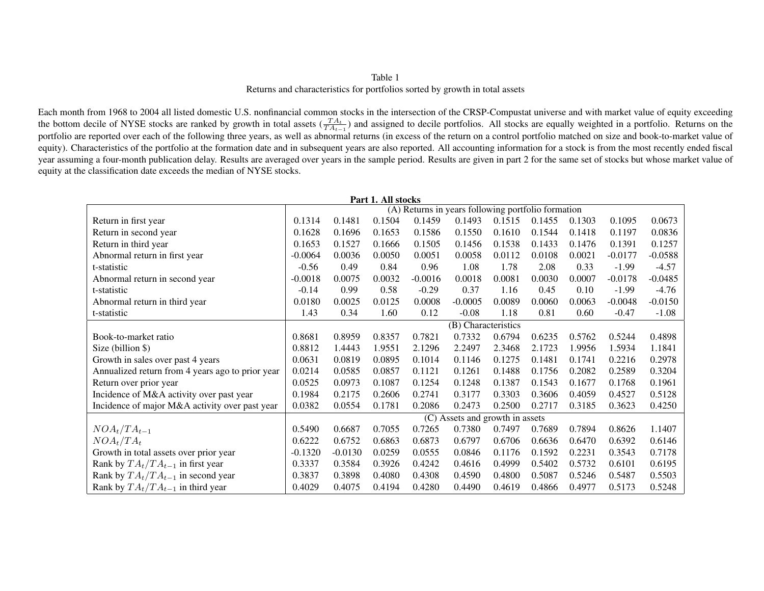#### Table 1 Returns and characteristics for portfolios sorted by growth in total assets

Each month from 1968 to 2004 all listed domestic U.S. nonfinancial common stocks in the intersection of the CRSP-Compustat universe and with market value of equity exceeding the bottom decile of NYSE stocks are ranked by growth in total assets  $(\frac{TA_t}{TA_{t-1}})$  and assigned to decile portfolios. All stocks are equally weighted in a portfolio. Returns on the portfolio are reported over each of the following three years, as well as abnormal returns (in excess of the return on a control portfolio matched on size and book-to-market value of equity). Characteristics of the portfolio at the formation date and in subsequent years are also reported. All accounting information for a stock is from the most recently ended fiscal year assuming a four-month publication delay. Results are averaged over years in the sample period. Results are given in part 2 for the same set of stocks but whose market value of equity at the classification date exceeds the median of NYSE stocks.

| Part 1. All stocks                               |           |           |        |           |                                                    |        |        |        |           |           |
|--------------------------------------------------|-----------|-----------|--------|-----------|----------------------------------------------------|--------|--------|--------|-----------|-----------|
|                                                  |           |           |        |           | (A) Returns in years following portfolio formation |        |        |        |           |           |
| Return in first year                             | 0.1314    | 0.1481    | 0.1504 | 0.1459    | 0.1493                                             | 0.1515 | 0.1455 | 0.1303 | 0.1095    | 0.0673    |
| Return in second year                            | 0.1628    | 0.1696    | 0.1653 | 0.1586    | 0.1550                                             | 0.1610 | 0.1544 | 0.1418 | 0.1197    | 0.0836    |
| Return in third year                             | 0.1653    | 0.1527    | 0.1666 | 0.1505    | 0.1456                                             | 0.1538 | 0.1433 | 0.1476 | 0.1391    | 0.1257    |
| Abnormal return in first year                    | $-0.0064$ | 0.0036    | 0.0050 | 0.0051    | 0.0058                                             | 0.0112 | 0.0108 | 0.0021 | $-0.0177$ | $-0.0588$ |
| t-statistic                                      | $-0.56$   | 0.49      | 0.84   | 0.96      | 1.08                                               | 1.78   | 2.08   | 0.33   | $-1.99$   | $-4.57$   |
| Abnormal return in second year                   | $-0.0018$ | 0.0075    | 0.0032 | $-0.0016$ | 0.0018                                             | 0.0081 | 0.0030 | 0.0007 | $-0.0178$ | $-0.0485$ |
| t-statistic                                      | $-0.14$   | 0.99      | 0.58   | $-0.29$   | 0.37                                               | 1.16   | 0.45   | 0.10   | $-1.99$   | $-4.76$   |
| Abnormal return in third year                    | 0.0180    | 0.0025    | 0.0125 | 0.0008    | $-0.0005$                                          | 0.0089 | 0.0060 | 0.0063 | $-0.0048$ | $-0.0150$ |
| t-statistic                                      | 1.43      | 0.34      | 1.60   | 0.12      | $-0.08$                                            | 1.18   | 0.81   | 0.60   | $-0.47$   | $-1.08$   |
|                                                  |           |           |        |           | (B) Characteristics                                |        |        |        |           |           |
| Book-to-market ratio                             | 0.8681    | 0.8959    | 0.8357 | 0.7821    | 0.7332                                             | 0.6794 | 0.6235 | 0.5762 | 0.5244    | 0.4898    |
| Size (billion \$)                                | 0.8812    | 1.4443    | 1.9551 | 2.1296    | 2.2497                                             | 2.3468 | 2.1723 | 1.9956 | 1.5934    | 1.1841    |
| Growth in sales over past 4 years                | 0.0631    | 0.0819    | 0.0895 | 0.1014    | 0.1146                                             | 0.1275 | 0.1481 | 0.1741 | 0.2216    | 0.2978    |
| Annualized return from 4 years ago to prior year | 0.0214    | 0.0585    | 0.0857 | 0.1121    | 0.1261                                             | 0.1488 | 0.1756 | 0.2082 | 0.2589    | 0.3204    |
| Return over prior year                           | 0.0525    | 0.0973    | 0.1087 | 0.1254    | 0.1248                                             | 0.1387 | 0.1543 | 0.1677 | 0.1768    | 0.1961    |
| Incidence of M&A activity over past year         | 0.1984    | 0.2175    | 0.2606 | 0.2741    | 0.3177                                             | 0.3303 | 0.3606 | 0.4059 | 0.4527    | 0.5128    |
| Incidence of major M&A activity over past year   | 0.0382    | 0.0554    | 0.1781 | 0.2086    | 0.2473                                             | 0.2500 | 0.2717 | 0.3185 | 0.3623    | 0.4250    |
|                                                  |           |           |        |           | (C) Assets and growth in assets                    |        |        |        |           |           |
| $NOA_t/TA_{t-1}$                                 | 0.5490    | 0.6687    | 0.7055 | 0.7265    | 0.7380                                             | 0.7497 | 0.7689 | 0.7894 | 0.8626    | 1.1407    |
| $NOA_t/TA_t$                                     | 0.6222    | 0.6752    | 0.6863 | 0.6873    | 0.6797                                             | 0.6706 | 0.6636 | 0.6470 | 0.6392    | 0.6146    |
| Growth in total assets over prior year           | $-0.1320$ | $-0.0130$ | 0.0259 | 0.0555    | 0.0846                                             | 0.1176 | 0.1592 | 0.2231 | 0.3543    | 0.7178    |
| Rank by $TA_t/TA_{t-1}$ in first year            | 0.3337    | 0.3584    | 0.3926 | 0.4242    | 0.4616                                             | 0.4999 | 0.5402 | 0.5732 | 0.6101    | 0.6195    |
| Rank by $TA_t/TA_{t-1}$ in second year           | 0.3837    | 0.3898    | 0.4080 | 0.4308    | 0.4590                                             | 0.4800 | 0.5087 | 0.5246 | 0.5487    | 0.5503    |
| Rank by $TA_t/TA_{t-1}$ in third year            | 0.4029    | 0.4075    | 0.4194 | 0.4280    | 0.4490                                             | 0.4619 | 0.4866 | 0.4977 | 0.5173    | 0.5248    |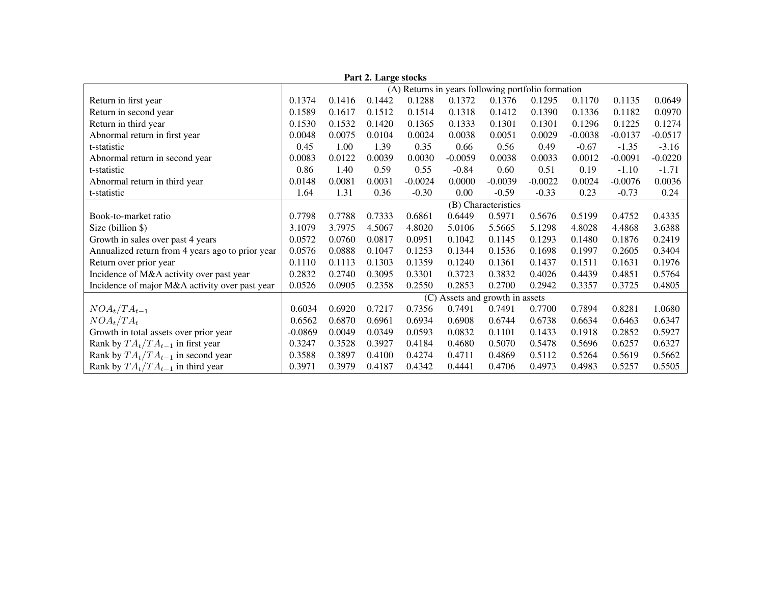|                                                  | Part 2. Large stocks |        |        |           |                                                    |                     |           |           |           |           |  |
|--------------------------------------------------|----------------------|--------|--------|-----------|----------------------------------------------------|---------------------|-----------|-----------|-----------|-----------|--|
|                                                  |                      |        |        |           | (A) Returns in years following portfolio formation |                     |           |           |           |           |  |
| Return in first year                             | 0.1374               | 0.1416 | 0.1442 | 0.1288    | 0.1372                                             | 0.1376              | 0.1295    | 0.1170    | 0.1135    | 0.0649    |  |
| Return in second year                            | 0.1589               | 0.1617 | 0.1512 | 0.1514    | 0.1318                                             | 0.1412              | 0.1390    | 0.1336    | 0.1182    | 0.0970    |  |
| Return in third year                             | 0.1530               | 0.1532 | 0.1420 | 0.1365    | 0.1333                                             | 0.1301              | 0.1301    | 0.1296    | 0.1225    | 0.1274    |  |
| Abnormal return in first year                    | 0.0048               | 0.0075 | 0.0104 | 0.0024    | 0.0038                                             | 0.0051              | 0.0029    | $-0.0038$ | $-0.0137$ | $-0.0517$ |  |
| t-statistic                                      | 0.45                 | 1.00   | 1.39   | 0.35      | 0.66                                               | 0.56                | 0.49      | $-0.67$   | $-1.35$   | $-3.16$   |  |
| Abnormal return in second year                   | 0.0083               | 0.0122 | 0.0039 | 0.0030    | $-0.0059$                                          | 0.0038              | 0.0033    | 0.0012    | $-0.0091$ | $-0.0220$ |  |
| t-statistic                                      | 0.86                 | 1.40   | 0.59   | 0.55      | $-0.84$                                            | 0.60                | 0.51      | 0.19      | $-1.10$   | $-1.71$   |  |
| Abnormal return in third year                    | 0.0148               | 0.0081 | 0.0031 | $-0.0024$ | 0.0000                                             | $-0.0039$           | $-0.0022$ | 0.0024    | $-0.0076$ | 0.0036    |  |
| t-statistic                                      | 1.64                 | 1.31   | 0.36   | $-0.30$   | 0.00                                               | $-0.59$             | $-0.33$   | 0.23      | $-0.73$   | 0.24      |  |
|                                                  |                      |        |        |           |                                                    | (B) Characteristics |           |           |           |           |  |
| Book-to-market ratio                             | 0.7798               | 0.7788 | 0.7333 | 0.6861    | 0.6449                                             | 0.5971              | 0.5676    | 0.5199    | 0.4752    | 0.4335    |  |
| Size (billion \$)                                | 3.1079               | 3.7975 | 4.5067 | 4.8020    | 5.0106                                             | 5.5665              | 5.1298    | 4.8028    | 4.4868    | 3.6388    |  |
| Growth in sales over past 4 years                | 0.0572               | 0.0760 | 0.0817 | 0.0951    | 0.1042                                             | 0.1145              | 0.1293    | 0.1480    | 0.1876    | 0.2419    |  |
| Annualized return from 4 years ago to prior year | 0.0576               | 0.0888 | 0.1047 | 0.1253    | 0.1344                                             | 0.1536              | 0.1698    | 0.1997    | 0.2605    | 0.3404    |  |
| Return over prior year                           | 0.1110               | 0.1113 | 0.1303 | 0.1359    | 0.1240                                             | 0.1361              | 0.1437    | 0.1511    | 0.1631    | 0.1976    |  |
| Incidence of M&A activity over past year         | 0.2832               | 0.2740 | 0.3095 | 0.3301    | 0.3723                                             | 0.3832              | 0.4026    | 0.4439    | 0.4851    | 0.5764    |  |
| Incidence of major M&A activity over past year   | 0.0526               | 0.0905 | 0.2358 | 0.2550    | 0.2853                                             | 0.2700              | 0.2942    | 0.3357    | 0.3725    | 0.4805    |  |
|                                                  |                      |        |        |           | (C) Assets and growth in assets                    |                     |           |           |           |           |  |
| $NOA_t/TA_{t-1}$                                 | 0.6034               | 0.6920 | 0.7217 | 0.7356    | 0.7491                                             | 0.7491              | 0.7700    | 0.7894    | 0.8281    | 1.0680    |  |
| $NOA_t/TA_t$                                     | 0.6562               | 0.6870 | 0.6961 | 0.6934    | 0.6908                                             | 0.6744              | 0.6738    | 0.6634    | 0.6463    | 0.6347    |  |
| Growth in total assets over prior year           | $-0.0869$            | 0.0049 | 0.0349 | 0.0593    | 0.0832                                             | 0.1101              | 0.1433    | 0.1918    | 0.2852    | 0.5927    |  |
| Rank by $TA_t/TA_{t-1}$ in first year            | 0.3247               | 0.3528 | 0.3927 | 0.4184    | 0.4680                                             | 0.5070              | 0.5478    | 0.5696    | 0.6257    | 0.6327    |  |
| Rank by $TA_t/TA_{t-1}$ in second year           | 0.3588               | 0.3897 | 0.4100 | 0.4274    | 0.4711                                             | 0.4869              | 0.5112    | 0.5264    | 0.5619    | 0.5662    |  |
| Rank by $TA_t/TA_{t-1}$ in third year            | 0.3971               | 0.3979 | 0.4187 | 0.4342    | 0.4441                                             | 0.4706              | 0.4973    | 0.4983    | 0.5257    | 0.5505    |  |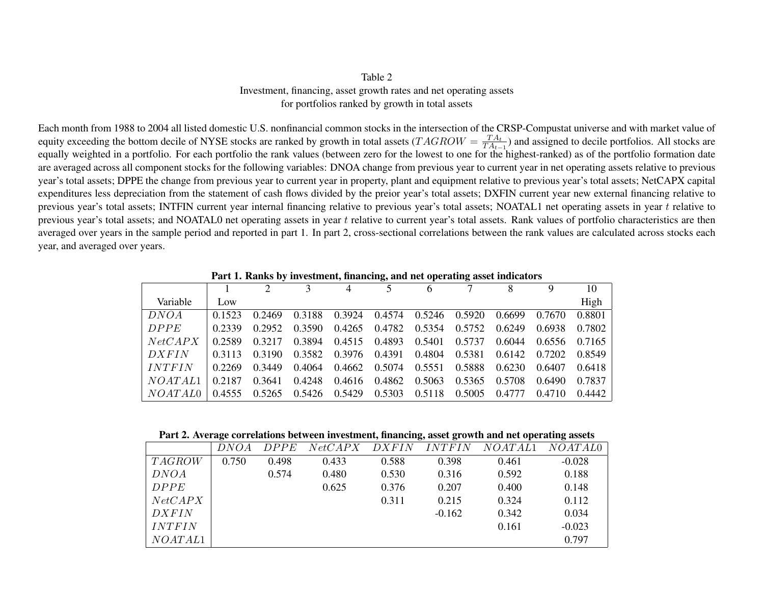# Table 2 Investment, financing, asset growth rates and net operating assets for portfolios ranked by growth in total assets

Each month from 1988 to 2004 all listed domestic U.S. nonfinancial common stocks in the intersection of the CRSP-Compustat universe and with market value of equity exceeding the bottom decile of NYSE stocks are ranked by growth in total assets (*TAGROW* =  $\frac{TA_t}{TA_{t-1}}$ ) and assigned to decile portfolios. All stocks are equally weighted in a portfolio. For each portfolio the rank values (between zero for the lowest to one for the highest-ranked) as of the portfolio formation date are averaged across all component stocks for the following variables: DNOA change from previous year to current year in net operating assets relative to previous year's total assets; DPPE the change from previous year to current year in property, plant and equipment relative to previous year's total assets; NetCAPX capital expenditures less depreciation from the statement of cash flows divided by the preior year's total assets; DXFIN current year new external financing relative to previous year's total assets; INTFIN current year internal financing relative to previous year's total assets; NOATAL1 net operating assets in year *t* relative to previous year's total assets; and NOATAL0 net operating assets in year *t* relative to current year's total assets. Rank values of portfolio characteristics are then averaged over years in the sample period and reported in part 1. In part 2, cross-sectional correlations between the rank values are calculated across stocks each year, and averaged over years.

Part 1. Ranks by investment, financing, and net operating asset indicators

|                     |        |        |        | 4             |                             | 6      |        | 8      | 9      | 10                |
|---------------------|--------|--------|--------|---------------|-----------------------------|--------|--------|--------|--------|-------------------|
| Variable            | Low    |        |        |               |                             |        |        |        |        | High              |
| DNOA                | 0.1523 | 0.2469 | 0.3188 |               | 0.3924 0.4574 0.5246 0.5920 |        |        | 0.6699 | 0.7670 | 0.8801            |
| DPE                 | 0.2339 | 0.2952 | 0.3590 |               | 0.4265 0.4782               | 0.5354 | 0.5752 | 0.6249 | 0.6938 | 0.7802            |
| NetCAPX             | 0.2589 | 0.3217 | 0.3894 | 0.4515 0.4893 |                             | 0.5401 | 0.5737 | 0.6044 |        | $0.6556$ $0.7165$ |
| DXFIN               | 0.3113 | 0.3190 | 0.3582 |               | 0.3976 0.4391               | 0.4804 | 0.5381 | 0.6142 | 0.7202 | 0.8549            |
| <i>INTFIN</i>       | 0.2269 | 0.3449 | 0.4064 |               | 0.4662 0.5074               | 0.5551 | 0.5888 | 0.6230 | 0.6407 | 0.6418            |
| NOATAL1             | 0.2187 | 0.3641 | 0.4248 | 0.4616        | 0.4862                      | 0.5063 | 0.5365 | 0.5708 | 0.6490 | 0.7837            |
| $\parallel NOATAL0$ | 0.4555 | 0.5265 | 0.5426 | 0.5429        | 0.5303                      | 0.5118 | 0.5005 | 0.4777 | 0.4710 | 0.4442            |

Part 2. Average correlations between investment, financing, asset growth and net operating assets

|                      | DNOA  | DPE   | NetCAPX | DXFIN | <b>INTFIN</b> | <i>NOATAL</i> 1 | NOATAL0  |
|----------------------|-------|-------|---------|-------|---------------|-----------------|----------|
| <b>TAGROW</b>        | 0.750 | 0.498 | 0.433   | 0.588 | 0.398         | 0.461           | $-0.028$ |
| DNOA                 |       | 0.574 | 0.480   | 0.530 | 0.316         | 0.592           | 0.188    |
| DPE                  |       |       | 0.625   | 0.376 | 0.207         | 0.400           | 0.148    |
| NetCAPX              |       |       |         | 0.311 | 0.215         | 0.324           | 0.112    |
| DXFIN                |       |       |         |       | $-0.162$      | 0.342           | 0.034    |
| <i><b>INTFIN</b></i> |       |       |         |       |               | 0.161           | $-0.023$ |
| <i>NOATAL</i> 1      |       |       |         |       |               |                 | 0.797    |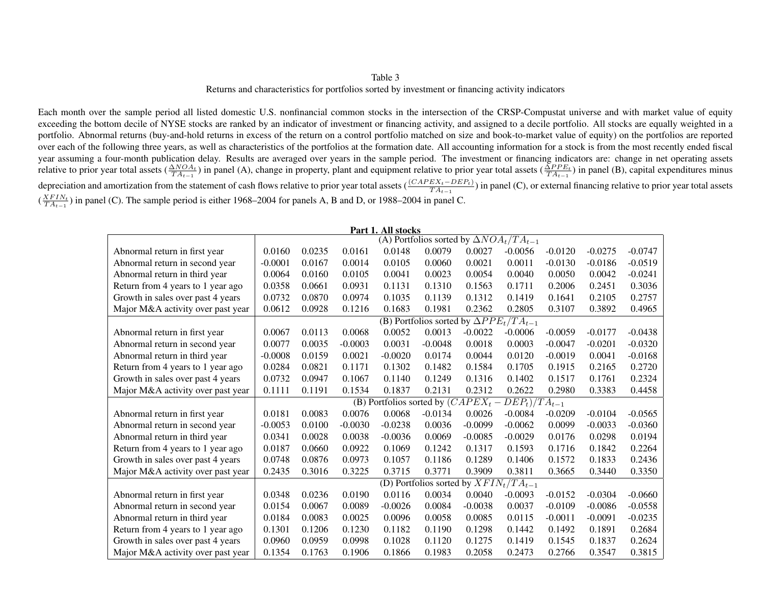#### Returns and characteristics for portfolios sorted by investment or financing activity indicators

Each month over the sample period all listed domestic U.S. nonfinancial common stocks in the intersection of the CRSP-Compustat universe and with market value of equity exceeding the bottom decile of NYSE stocks are ranked by an indicator of investment or financing activity, and assigned to a decile portfolio. All stocks are equally weighted in a portfolio. Abnormal returns (buy-and-hold returns in excess of the return on a control portfolio matched on size and book-to-market value of equity) on the portfolios are reported over each of the following three years, as well as characteristics of the portfolios at the formation date. All accounting information for a stock is from the most recently ended fiscal year assuming a four-month publication delay. Results are averaged over years in the sample period. The investment or financing indicators are: change in net operating assets relative to prior year total assets  $(\frac{\Delta NOA_t}{TA_{t-1}})$  in panel (A), change in property, plant and equipment relative to prior year total assets  $(\frac{\Delta PPE_t}{TA_{t-1}})$  in panel (B), capital expenditures minus depreciation and amortization from the statement of cash flows relative to prior year total assets  $(\frac{(CAPEX_t-DEP_t)}{TA_{t-1}})$  in panel (C), or external financing relative to prior year total assets  $(\frac{XFIN_t}{TA_{t-1}})$  in panel (C). The sample period is either 1968–2004 for panels A, B and D, or 1988–2004 in panel C.

|                                   |           |                                                  |           | 1 апель Ган Эгосаэ                    |                                            |           | (A) Portfolios sorted by $\Delta NOA_t/TA_{t-1}$ |           |           |           |
|-----------------------------------|-----------|--------------------------------------------------|-----------|---------------------------------------|--------------------------------------------|-----------|--------------------------------------------------|-----------|-----------|-----------|
| Abnormal return in first year     | 0.0160    | 0.0235                                           | 0.0161    | 0.0148                                | 0.0079                                     | 0.0027    | $-0.0056$                                        | $-0.0120$ | $-0.0275$ | $-0.0747$ |
| Abnormal return in second year    | $-0.0001$ | 0.0167                                           | 0.0014    | 0.0105                                | 0.0060                                     | 0.0021    | 0.0011                                           | $-0.0130$ | $-0.0186$ | $-0.0519$ |
| Abnormal return in third year     | 0.0064    | 0.0160                                           | 0.0105    | 0.0041                                | 0.0023                                     | 0.0054    | 0.0040                                           | 0.0050    | 0.0042    | $-0.0241$ |
| Return from 4 years to 1 year ago | 0.0358    | 0.0661                                           | 0.0931    | 0.1131                                | 0.1310                                     | 0.1563    | 0.1711                                           | 0.2006    | 0.2451    | 0.3036    |
| Growth in sales over past 4 years | 0.0732    | 0.0870                                           | 0.0974    | 0.1035                                | 0.1139                                     | 0.1312    | 0.1419                                           | 0.1641    | 0.2105    | 0.2757    |
| Major M&A activity over past year | 0.0612    | 0.0928                                           | 0.1216    | 0.1683                                | 0.1981                                     | 0.2362    | 0.2805                                           | 0.3107    | 0.3892    | 0.4965    |
|                                   |           | (B) Portfolios sorted by $\Delta PPE_t/TA_{t-1}$ |           |                                       |                                            |           |                                                  |           |           |           |
| Abnormal return in first year     | 0.0067    | 0.0113                                           | 0.0068    | 0.0052                                | 0.0013                                     | $-0.0022$ | $-0.0006$                                        | $-0.0059$ | $-0.0177$ | $-0.0438$ |
| Abnormal return in second year    | 0.0077    | 0.0035                                           | $-0.0003$ | 0.0031                                | $-0.0048$                                  | 0.0018    | 0.0003                                           | $-0.0047$ | $-0.0201$ | $-0.0320$ |
| Abnormal return in third year     | $-0.0008$ | 0.0159                                           | 0.0021    | $-0.0020$                             | 0.0174                                     | 0.0044    | 0.0120                                           | $-0.0019$ | 0.0041    | $-0.0168$ |
| Return from 4 years to 1 year ago | 0.0284    | 0.0821                                           | 0.1171    | 0.1302                                | 0.1482                                     | 0.1584    | 0.1705                                           | 0.1915    | 0.2165    | 0.2720    |
| Growth in sales over past 4 years | 0.0732    | 0.0947                                           | 0.1067    | 0.1140                                | 0.1249                                     | 0.1316    | 0.1402                                           | 0.1517    | 0.1761    | 0.2324    |
| Major M&A activity over past year | 0.1111    | 0.1191                                           | 0.1534    | 0.1837                                | 0.2131                                     | 0.2312    | 0.2622                                           | 0.2980    | 0.3383    | 0.4458    |
|                                   |           |                                                  |           | (B) Portfolios sorted by $(CAPEX_t -$ |                                            |           | $DEP_t)/TA_{t-1}$                                |           |           |           |
| Abnormal return in first year     | 0.0181    | 0.0083                                           | 0.0076    | 0.0068                                | $-0.0134$                                  | 0.0026    | $-0.0084$                                        | $-0.0209$ | $-0.0104$ | $-0.0565$ |
| Abnormal return in second year    | $-0.0053$ | 0.0100                                           | $-0.0030$ | $-0.0238$                             | 0.0036                                     | $-0.0099$ | $-0.0062$                                        | 0.0099    | $-0.0033$ | $-0.0360$ |
| Abnormal return in third year     | 0.0341    | 0.0028                                           | 0.0038    | $-0.0036$                             | 0.0069                                     | $-0.0085$ | $-0.0029$                                        | 0.0176    | 0.0298    | 0.0194    |
| Return from 4 years to 1 year ago | 0.0187    | 0.0660                                           | 0.0922    | 0.1069                                | 0.1242                                     | 0.1317    | 0.1593                                           | 0.1716    | 0.1842    | 0.2264    |
| Growth in sales over past 4 years | 0.0748    | 0.0876                                           | 0.0973    | 0.1057                                | 0.1186                                     | 0.1289    | 0.1406                                           | 0.1572    | 0.1833    | 0.2436    |
| Major M&A activity over past year | 0.2435    | 0.3016                                           | 0.3225    | 0.3715                                | 0.3771                                     | 0.3909    | 0.3811                                           | 0.3665    | 0.3440    | 0.3350    |
|                                   |           |                                                  |           |                                       | (D) Portfolios sorted by $XFIN_t/TA_{t-1}$ |           |                                                  |           |           |           |
| Abnormal return in first year     | 0.0348    | 0.0236                                           | 0.0190    | 0.0116                                | 0.0034                                     | 0.0040    | $-0.0093$                                        | $-0.0152$ | $-0.0304$ | $-0.0660$ |
| Abnormal return in second year    | 0.0154    | 0.0067                                           | 0.0089    | $-0.0026$                             | 0.0084                                     | $-0.0038$ | 0.0037                                           | $-0.0109$ | $-0.0086$ | $-0.0558$ |
| Abnormal return in third year     | 0.0184    | 0.0083                                           | 0.0025    | 0.0096                                | 0.0058                                     | 0.0085    | 0.0115                                           | $-0.0011$ | $-0.0091$ | $-0.0235$ |
| Return from 4 years to 1 year ago | 0.1301    | 0.1206                                           | 0.1230    | 0.1182                                | 0.1190                                     | 0.1298    | 0.1442                                           | 0.1492    | 0.1891    | 0.2684    |
| Growth in sales over past 4 years | 0.0960    | 0.0959                                           | 0.0998    | 0.1028                                | 0.1120                                     | 0.1275    | 0.1419                                           | 0.1545    | 0.1837    | 0.2624    |
| Major M&A activity over past year | 0.1354    | 0.1763                                           | 0.1906    | 0.1866                                | 0.1983                                     | 0.2058    | 0.2473                                           | 0.2766    | 0.3547    | 0.3815    |

Part 1. All stocks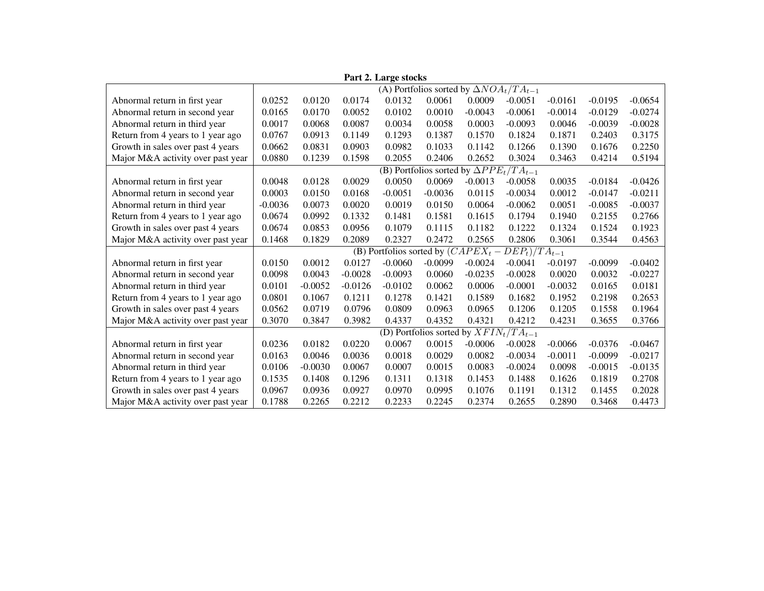| Part 2. Large stocks              |           |           |           |                                       |           |                                                  |                   |           |           |           |
|-----------------------------------|-----------|-----------|-----------|---------------------------------------|-----------|--------------------------------------------------|-------------------|-----------|-----------|-----------|
|                                   |           |           |           |                                       |           | (A) Portfolios sorted by $\Delta NOA_t/TA_{t-1}$ |                   |           |           |           |
| Abnormal return in first year     | 0.0252    | 0.0120    | 0.0174    | 0.0132                                | 0.0061    | 0.0009                                           | $-0.0051$         | $-0.0161$ | $-0.0195$ | $-0.0654$ |
| Abnormal return in second year    | 0.0165    | 0.0170    | 0.0052    | 0.0102                                | 0.0010    | $-0.0043$                                        | $-0.0061$         | $-0.0014$ | $-0.0129$ | $-0.0274$ |
| Abnormal return in third year     | 0.0017    | 0.0068    | 0.0087    | 0.0034                                | 0.0058    | 0.0003                                           | $-0.0093$         | 0.0046    | $-0.0039$ | $-0.0028$ |
| Return from 4 years to 1 year ago | 0.0767    | 0.0913    | 0.1149    | 0.1293                                | 0.1387    | 0.1570                                           | 0.1824            | 0.1871    | 0.2403    | 0.3175    |
| Growth in sales over past 4 years | 0.0662    | 0.0831    | 0.0903    | 0.0982                                | 0.1033    | 0.1142                                           | 0.1266            | 0.1390    | 0.1676    | 0.2250    |
| Major M&A activity over past year | 0.0880    | 0.1239    | 0.1598    | 0.2055                                | 0.2406    | 0.2652                                           | 0.3024            | 0.3463    | 0.4214    | 0.5194    |
|                                   |           |           |           |                                       |           | (B) Portfolios sorted by $\Delta PPE_t/TA_{t-1}$ |                   |           |           |           |
| Abnormal return in first year     | 0.0048    | 0.0128    | 0.0029    | 0.0050                                | 0.0069    | $-0.0013$                                        | $-0.0058$         | 0.0035    | $-0.0184$ | $-0.0426$ |
| Abnormal return in second year    | 0.0003    | 0.0150    | 0.0168    | $-0.0051$                             | $-0.0036$ | 0.0115                                           | $-0.0034$         | 0.0012    | $-0.0147$ | $-0.0211$ |
| Abnormal return in third year     | $-0.0036$ | 0.0073    | 0.0020    | 0.0019                                | 0.0150    | 0.0064                                           | $-0.0062$         | 0.0051    | $-0.0085$ | $-0.0037$ |
| Return from 4 years to 1 year ago | 0.0674    | 0.0992    | 0.1332    | 0.1481                                | 0.1581    | 0.1615                                           | 0.1794            | 0.1940    | 0.2155    | 0.2766    |
| Growth in sales over past 4 years | 0.0674    | 0.0853    | 0.0956    | 0.1079                                | 0.1115    | 0.1182                                           | 0.1222            | 0.1324    | 0.1524    | 0.1923    |
| Major M&A activity over past year | 0.1468    | 0.1829    | 0.2089    | 0.2327                                | 0.2472    | 0.2565                                           | 0.2806            | 0.3061    | 0.3544    | 0.4563    |
|                                   |           |           |           | (B) Portfolios sorted by $(CAPEX_t -$ |           |                                                  | $DEP_t)/TA_{t-1}$ |           |           |           |
| Abnormal return in first year     | 0.0150    | 0.0012    | 0.0127    | $-0.0060$                             | $-0.0099$ | $-0.0024$                                        | $-0.0041$         | $-0.0197$ | $-0.0099$ | $-0.0402$ |
| Abnormal return in second year    | 0.0098    | 0.0043    | $-0.0028$ | $-0.0093$                             | 0.0060    | $-0.0235$                                        | $-0.0028$         | 0.0020    | 0.0032    | $-0.0227$ |
| Abnormal return in third year     | 0.0101    | $-0.0052$ | $-0.0126$ | $-0.0102$                             | 0.0062    | 0.0006                                           | $-0.0001$         | $-0.0032$ | 0.0165    | 0.0181    |
| Return from 4 years to 1 year ago | 0.0801    | 0.1067    | 0.1211    | 0.1278                                | 0.1421    | 0.1589                                           | 0.1682            | 0.1952    | 0.2198    | 0.2653    |
| Growth in sales over past 4 years | 0.0562    | 0.0719    | 0.0796    | 0.0809                                | 0.0963    | 0.0965                                           | 0.1206            | 0.1205    | 0.1558    | 0.1964    |
| Major M&A activity over past year | 0.3070    | 0.3847    | 0.3982    | 0.4337                                | 0.4352    | 0.4321                                           | 0.4212            | 0.4231    | 0.3655    | 0.3766    |
|                                   |           |           |           |                                       |           | (D) Portfolios sorted by $XFIN_t/TA_{t-1}$       |                   |           |           |           |
| Abnormal return in first year     | 0.0236    | 0.0182    | 0.0220    | 0.0067                                | 0.0015    | $-0.0006$                                        | $-0.0028$         | $-0.0066$ | $-0.0376$ | $-0.0467$ |
| Abnormal return in second year    | 0.0163    | 0.0046    | 0.0036    | 0.0018                                | 0.0029    | 0.0082                                           | $-0.0034$         | $-0.0011$ | $-0.0099$ | $-0.0217$ |
| Abnormal return in third year     | 0.0106    | $-0.0030$ | 0.0067    | 0.0007                                | 0.0015    | 0.0083                                           | $-0.0024$         | 0.0098    | $-0.0015$ | $-0.0135$ |
| Return from 4 years to 1 year ago | 0.1535    | 0.1408    | 0.1296    | 0.1311                                | 0.1318    | 0.1453                                           | 0.1488            | 0.1626    | 0.1819    | 0.2708    |
| Growth in sales over past 4 years | 0.0967    | 0.0936    | 0.0927    | 0.0970                                | 0.0995    | 0.1076                                           | 0.1191            | 0.1312    | 0.1455    | 0.2028    |
| Major M&A activity over past year | 0.1788    | 0.2265    | 0.2212    | 0.2233                                | 0.2245    | 0.2374                                           | 0.2655            | 0.2890    | 0.3468    | 0.4473    |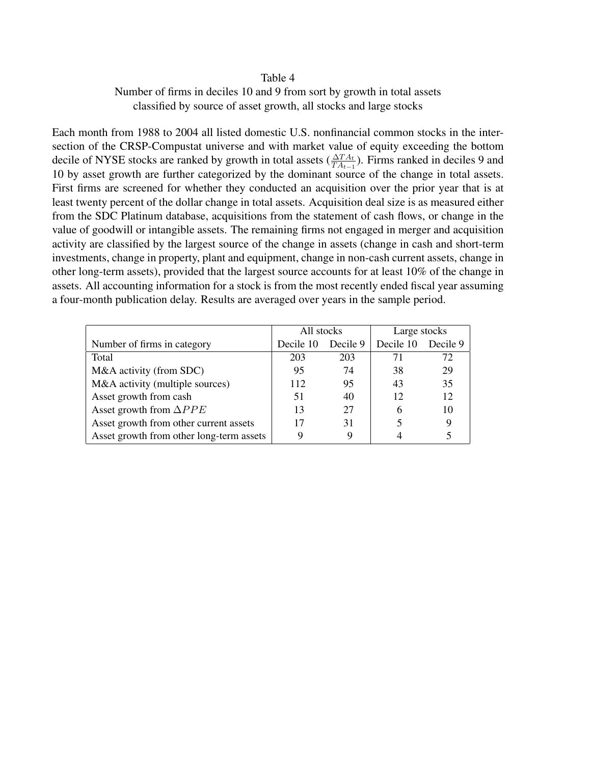# Number of firms in deciles 10 and 9 from sort by growth in total assets classified by source of asset growth, all stocks and large stocks

Each month from 1988 to 2004 all listed domestic U.S. nonfinancial common stocks in the intersection of the CRSP-Compustat universe and with market value of equity exceeding the bottom decile of NYSE stocks are ranked by growth in total assets  $(\frac{\Delta T A_t}{T A_{t-1}})$ . Firms ranked in deciles 9 and 10 by asset growth are further categorized by the dominant source of the change in total assets. First firms are screened for whether they conducted an acquisition over the prior year that is at least twenty percent of the dollar change in total assets. Acquisition deal size is as measured either from the SDC Platinum database, acquisitions from the statement of cash flows, or change in the value of goodwill or intangible assets. The remaining firms not engaged in merger and acquisition activity are classified by the largest source of the change in assets (change in cash and short-term investments, change in property, plant and equipment, change in non-cash current assets, change in other long-term assets), provided that the largest source accounts for at least 10% of the change in assets. All accounting information for a stock is from the most recently ended fiscal year assuming a four-month publication delay. Results are averaged over years in the sample period.

|                                          | All stocks |          | Large stocks       |    |
|------------------------------------------|------------|----------|--------------------|----|
| Number of firms in category              | Decile 10  | Decile 9 | Decile 10 Decile 9 |    |
| Total                                    | 203        | 203      | 71                 | 72 |
| M&A activity (from SDC)                  | 95         | 74       | 38                 | 29 |
| M&A activity (multiple sources)          | 112        | 95       | 43                 | 35 |
| Asset growth from cash                   | 51         | 40       | 12                 | 12 |
| Asset growth from $\Delta PPE$           | 13         | 27       | 6                  | 10 |
| Asset growth from other current assets   | 17         | 31       |                    | 9  |
| Asset growth from other long-term assets |            |          |                    |    |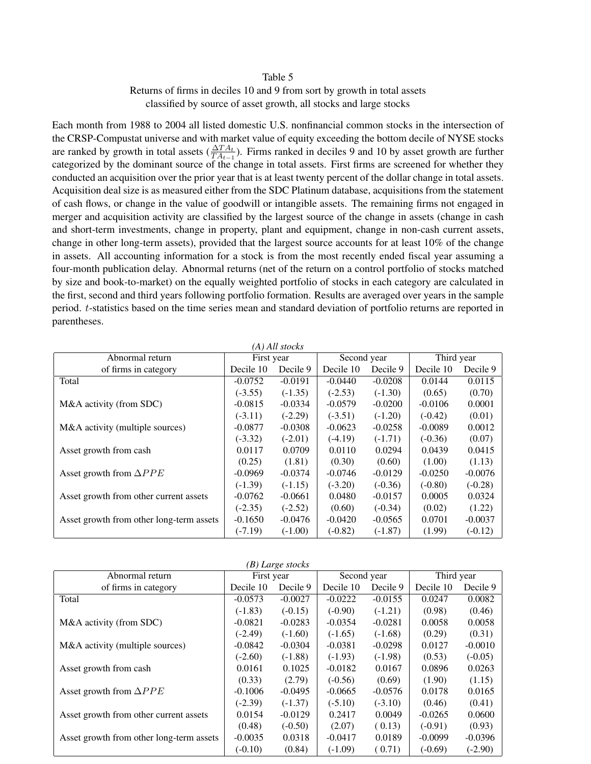## Returns of firms in deciles 10 and 9 from sort by growth in total assets classified by source of asset growth, all stocks and large stocks

Each month from 1988 to 2004 all listed domestic U.S. nonfinancial common stocks in the intersection of the CRSP-Compustat universe and with market value of equity exceeding the bottom decile of NYSE stocks are ranked by growth in total assets  $(\frac{\Delta T A_t}{T A_{t-1}})$ . Firms ranked in deciles 9 and 10 by asset growth are further categorized by the dominant source of the change in total assets. First firms are screened for whether they conducted an acquisition over the prior year that is at least twenty percent of the dollar change in total assets. Acquisition deal size is as measured either from the SDC Platinum database, acquisitions from the statement of cash flows, or change in the value of goodwill or intangible assets. The remaining firms not engaged in merger and acquisition activity are classified by the largest source of the change in assets (change in cash and short-term investments, change in property, plant and equipment, change in non-cash current assets, change in other long-term assets), provided that the largest source accounts for at least 10% of the change in assets. All accounting information for a stock is from the most recently ended fiscal year assuming a four-month publication delay. Abnormal returns (net of the return on a control portfolio of stocks matched by size and book-to-market) on the equally weighted portfolio of stocks in each category are calculated in the first, second and third years following portfolio formation. Results are averaged over years in the sample period. *t*-statistics based on the time series mean and standard deviation of portfolio returns are reported in parentheses.

|                                          | (A) All stocks |           |             |           |            |           |  |  |  |  |  |
|------------------------------------------|----------------|-----------|-------------|-----------|------------|-----------|--|--|--|--|--|
| Abnormal return                          | First year     |           | Second year |           | Third year |           |  |  |  |  |  |
| of firms in category                     | Decile 10      | Decile 9  | Decile 10   | Decile 9  | Decile 10  | Decile 9  |  |  |  |  |  |
| Total                                    | $-0.0752$      | $-0.0191$ | $-0.0440$   | $-0.0208$ | 0.0144     | 0.0115    |  |  |  |  |  |
|                                          | $(-3.55)$      | $(-1.35)$ | $(-2.53)$   | $(-1.30)$ | (0.65)     | (0.70)    |  |  |  |  |  |
| M&A activity (from SDC)                  | $-0.0815$      | $-0.0334$ | $-0.0579$   | $-0.0200$ | $-0.0106$  | 0.0001    |  |  |  |  |  |
|                                          | $(-3.11)$      | $(-2.29)$ | $(-3.51)$   | $(-1.20)$ | $(-0.42)$  | (0.01)    |  |  |  |  |  |
| M&A activity (multiple sources)          | $-0.0877$      | $-0.0308$ | $-0.0623$   | $-0.0258$ | $-0.0089$  | 0.0012    |  |  |  |  |  |
|                                          | $(-3.32)$      | $(-2.01)$ | $(-4.19)$   | $(-1.71)$ | $(-0.36)$  | (0.07)    |  |  |  |  |  |
| Asset growth from cash                   | 0.0117         | 0.0709    | 0.0110      | 0.0294    | 0.0439     | 0.0415    |  |  |  |  |  |
|                                          | (0.25)         | (1.81)    | (0.30)      | (0.60)    | (1.00)     | (1.13)    |  |  |  |  |  |
| Asset growth from $\Delta PPE$           | $-0.0969$      | $-0.0374$ | $-0.0746$   | $-0.0129$ | $-0.0250$  | $-0.0076$ |  |  |  |  |  |
|                                          | $(-1.39)$      | $(-1.15)$ | $(-3.20)$   | $(-0.36)$ | $(-0.80)$  | $(-0.28)$ |  |  |  |  |  |
| Asset growth from other current assets   | $-0.0762$      | $-0.0661$ | 0.0480      | $-0.0157$ | 0.0005     | 0.0324    |  |  |  |  |  |
|                                          | $(-2.35)$      | $(-2.52)$ | (0.60)      | $(-0.34)$ | (0.02)     | (1.22)    |  |  |  |  |  |
| Asset growth from other long-term assets | $-0.1650$      | $-0.0476$ | $-0.0420$   | $-0.0565$ | 0.0701     | $-0.0037$ |  |  |  |  |  |
|                                          | $(-7.19)$      | $(-1.00)$ | $(-0.82)$   | $(-1.87)$ | (1.99)     | $(-0.12)$ |  |  |  |  |  |

|                                          |            | (B) Large stocks |             |           |            |           |
|------------------------------------------|------------|------------------|-------------|-----------|------------|-----------|
| Abnormal return                          | First year |                  | Second year |           | Third year |           |
| of firms in category                     | Decile 10  | Decile 9         | Decile 10   | Decile 9  | Decile 10  | Decile 9  |
| Total                                    | $-0.0573$  | $-0.0027$        | $-0.0222$   | $-0.0155$ | 0.0247     | 0.0082    |
|                                          | $(-1.83)$  | $(-0.15)$        | $(-0.90)$   | $(-1.21)$ | (0.98)     | (0.46)    |
| M&A activity (from SDC)                  | $-0.0821$  | $-0.0283$        | $-0.0354$   | $-0.0281$ | 0.0058     | 0.0058    |
|                                          | $(-2.49)$  | $(-1.60)$        | $(-1.65)$   | $(-1.68)$ | (0.29)     | (0.31)    |
| M&A activity (multiple sources)          | $-0.0842$  | $-0.0304$        | $-0.0381$   | $-0.0298$ | 0.0127     | $-0.0010$ |
|                                          | $(-2.60)$  | $(-1.88)$        | $(-1.93)$   | $(-1.98)$ | (0.53)     | $(-0.05)$ |
| Asset growth from cash                   | 0.0161     | 0.1025           | $-0.0182$   | 0.0167    | 0.0896     | 0.0263    |
|                                          | (0.33)     | (2.79)           | $(-0.56)$   | (0.69)    | (1.90)     | (1.15)    |
| Asset growth from $\Delta PPE$           | $-0.1006$  | $-0.0495$        | $-0.0665$   | $-0.0576$ | 0.0178     | 0.0165    |
|                                          | $(-2.39)$  | $(-1.37)$        | $(-5.10)$   | $(-3.10)$ | (0.46)     | (0.41)    |
| Asset growth from other current assets   | 0.0154     | $-0.0129$        | 0.2417      | 0.0049    | $-0.0265$  | 0.0600    |
|                                          | (0.48)     | $(-0.50)$        | (2.07)      | (0.13)    | $(-0.91)$  | (0.93)    |
| Asset growth from other long-term assets | $-0.0035$  | 0.0318           | $-0.0417$   | 0.0189    | $-0.0099$  | $-0.0396$ |
|                                          | $(-0.10)$  | (0.84)           | $(-1.09)$   | (0.71)    | $(-0.69)$  | $(-2.90)$ |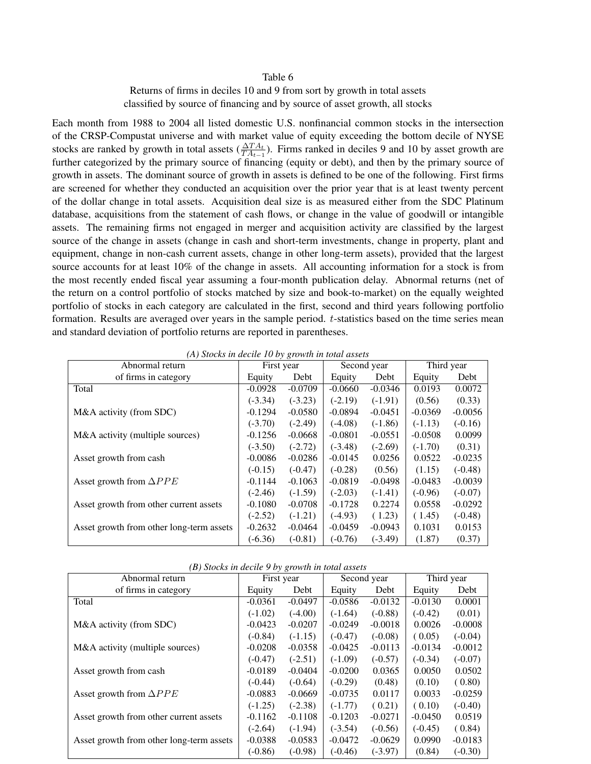# Returns of firms in deciles 10 and 9 from sort by growth in total assets classified by source of financing and by source of asset growth, all stocks

Each month from 1988 to 2004 all listed domestic U.S. nonfinancial common stocks in the intersection of the CRSP-Compustat universe and with market value of equity exceeding the bottom decile of NYSE stocks are ranked by growth in total assets  $(\frac{\Delta T A_t}{T A_{t-1}})$ . Firms ranked in deciles 9 and 10 by asset growth are further categorized by the primary source of financing (equity or debt), and then by the primary source of growth in assets. The dominant source of growth in assets is defined to be one of the following. First firms are screened for whether they conducted an acquisition over the prior year that is at least twenty percent of the dollar change in total assets. Acquisition deal size is as measured either from the SDC Platinum database, acquisitions from the statement of cash flows, or change in the value of goodwill or intangible assets. The remaining firms not engaged in merger and acquisition activity are classified by the largest source of the change in assets (change in cash and short-term investments, change in property, plant and equipment, change in non-cash current assets, change in other long-term assets), provided that the largest source accounts for at least 10% of the change in assets. All accounting information for a stock is from the most recently ended fiscal year assuming a four-month publication delay. Abnormal returns (net of the return on a control portfolio of stocks matched by size and book-to-market) on the equally weighted portfolio of stocks in each category are calculated in the first, second and third years following portfolio formation. Results are averaged over years in the sample period. *t*-statistics based on the time series mean and standard deviation of portfolio returns are reported in parentheses.

| Abnormal return                          | First year |           | Second year |           | Third year |           |
|------------------------------------------|------------|-----------|-------------|-----------|------------|-----------|
| of firms in category                     | Equity     | Debt      | Equity      | Debt      | Equity     | Debt      |
| Total                                    | $-0.0928$  | $-0.0709$ | $-0.0660$   | $-0.0346$ | 0.0193     | 0.0072    |
|                                          | $(-3.34)$  | $(-3.23)$ | $(-2.19)$   | $(-1.91)$ | (0.56)     | (0.33)    |
| M&A activity (from SDC)                  | $-0.1294$  | $-0.0580$ | $-0.0894$   | $-0.0451$ | $-0.0369$  | $-0.0056$ |
|                                          | $(-3.70)$  | $(-2.49)$ | $(-4.08)$   | $(-1.86)$ | $(-1.13)$  | $(-0.16)$ |
| M&A activity (multiple sources)          | $-0.1256$  | $-0.0668$ | $-0.0801$   | $-0.0551$ | $-0.0508$  | 0.0099    |
|                                          | $(-3.50)$  | $(-2.72)$ | $(-3.48)$   | $(-2.69)$ | $(-1.70)$  | (0.31)    |
| Asset growth from cash                   | $-0.0086$  | $-0.0286$ | $-0.0145$   | 0.0256    | 0.0522     | $-0.0235$ |
|                                          | $(-0.15)$  | $(-0.47)$ | $(-0.28)$   | (0.56)    | (1.15)     | $(-0.48)$ |
| Asset growth from $\Delta PPE$           | $-0.1144$  | $-0.1063$ | $-0.0819$   | $-0.0498$ | $-0.0483$  | $-0.0039$ |
|                                          | $(-2.46)$  | $(-1.59)$ | $(-2.03)$   | $(-1.41)$ | $(-0.96)$  | $(-0.07)$ |
| Asset growth from other current assets   | $-0.1080$  | $-0.0708$ | $-0.1728$   | 0.2274    | 0.0558     | $-0.0292$ |
|                                          | $(-2.52)$  | $(-1.21)$ | $(-4.93)$   | (1.23)    | (1.45)     | $(-0.48)$ |
| Asset growth from other long-term assets | $-0.2632$  | $-0.0464$ | $-0.0459$   | $-0.0943$ | 0.1031     | 0.0153    |
|                                          | $(-6.36)$  | $(-0.81)$ | $(-0.76)$   | $(-3.49)$ | (1.87)     | (0.37)    |

*(A) Stocks in decile 10 by growth in total assets*

| (B) Stocks in decile 9 by growth in total assets |            |           |           |             |           |            |
|--------------------------------------------------|------------|-----------|-----------|-------------|-----------|------------|
| Abnormal return                                  | First year |           |           | Second year |           | Third year |
| of firms in category                             | Equity     | Debt      | Equity    | Debt        | Equity    | Debt       |
| Total                                            | $-0.0361$  | $-0.0497$ | $-0.0586$ | $-0.0132$   | $-0.0130$ | 0.0001     |
|                                                  | $(-1.02)$  | $(-4.00)$ | $(-1.64)$ | $(-0.88)$   | $(-0.42)$ | (0.01)     |
| M&A activity (from SDC)                          | $-0.0423$  | $-0.0207$ | $-0.0249$ | $-0.0018$   | 0.0026    | $-0.0008$  |
|                                                  | $(-0.84)$  | $(-1.15)$ | $(-0.47)$ | $(-0.08)$   | (0.05)    | $(-0.04)$  |
| M&A activity (multiple sources)                  | $-0.0208$  | $-0.0358$ | $-0.0425$ | $-0.0113$   | $-0.0134$ | $-0.0012$  |
|                                                  | $(-0.47)$  | $(-2.51)$ | $(-1.09)$ | $(-0.57)$   | $(-0.34)$ | $(-0.07)$  |
| Asset growth from cash                           | $-0.0189$  | $-0.0404$ | $-0.0200$ | 0.0365      | 0.0050    | 0.0502     |
|                                                  | $(-0.44)$  | $(-0.64)$ | $(-0.29)$ | (0.48)      | (0.10)    | (0.80)     |
| Asset growth from $\Delta PPE$                   | $-0.0883$  | $-0.0669$ | $-0.0735$ | 0.0117      | 0.0033    | $-0.0259$  |
|                                                  | $(-1.25)$  | $(-2.38)$ | $(-1.77)$ | (0.21)      | (0.10)    | $(-0.40)$  |
| Asset growth from other current assets           | $-0.1162$  | $-0.1108$ | $-0.1203$ | $-0.0271$   | $-0.0450$ | 0.0519     |
|                                                  | $(-2.64)$  | $(-1.94)$ | $(-3.54)$ | $(-0.56)$   | $(-0.45)$ | (0.84)     |
| Asset growth from other long-term assets         | $-0.0388$  | $-0.0583$ | $-0.0472$ | $-0.0629$   | 0.0990    | $-0.0183$  |
|                                                  | $(-0.86)$  | $(-0.98)$ | $(-0.46)$ | $(-3.97)$   | (0.84)    | $(-0.30)$  |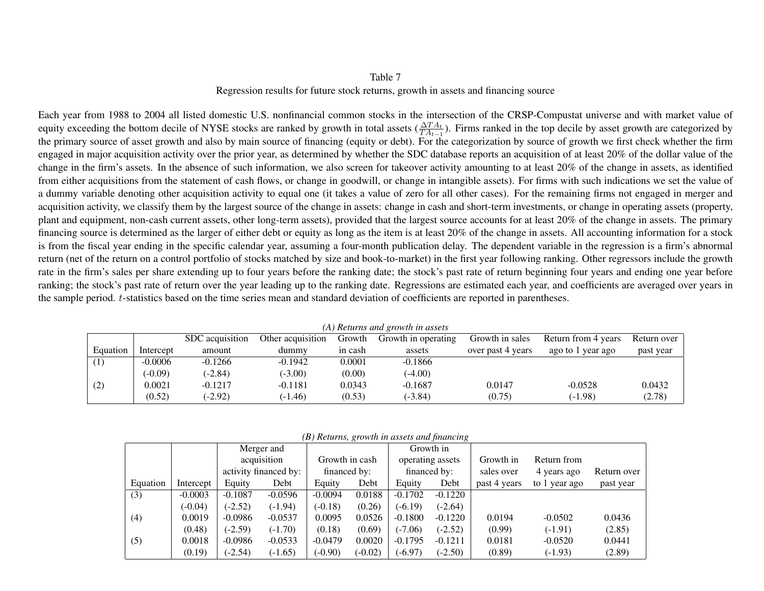## Regression results for future stock returns, growth in assets and financing source

Each year from 1988 to 2004 all listed domestic U.S. nonfinancial common stocks in the intersection of the CRSP-Compustat universe and with market value of equity exceeding the bottom decile of NYSE stocks are ranked by growth in total assets  $(\frac{\Delta T A_t}{T A_{t-1}})$ . Firms ranked in the top decile by asset growth are categorized by the primary source of asset growth and also by main source of financing (equity or debt). For the categorization by source of growth we first check whether the firm engaged in major acquisition activity over the prior year, as determined by whether the SDC database reports an acquisition of at least 20% of the dollar value of the change in the firm's assets. In the absence of such information, we also screen for takeover activity amounting to at least 20% of the change in assets, as identified from either acquisitions from the statement of cash flows, or change in goodwill, or change in intangible assets). For firms with such indications we set the value of a dummy variable denoting other acquisition activity to equal one (it takes a value of zero for all other cases). For the remaining firms not engaged in merger and acquisition activity, we classify them by the largest source of the change in assets: change in cash and short-term investments, or change in operating assets (property, plant and equipment, non-cash current assets, other long-term assets), provided that the largest source accounts for at least 20% of the change in assets. The primary financing source is determined as the larger of either debt or equity as long as the item is at least 20% of the change in assets. All accounting information for a stock is from the fiscal year ending in the specific calendar year, assuming a four-month publication delay. The dependent variable in the regression is a firm's abnormal return (net of the return on a control portfolio of stocks matched by size and book-to-market) in the first year following ranking. Other regressors include the growth rate in the firm's sales per share extending up to four years before the ranking date; the stock's past rate of return beginning four years and ending one year before ranking; the stock's past rate of return over the year leading up to the ranking date. Regressions are estimated each year, and coefficients are averaged over years in the sample period. *t*-statistics based on the time series mean and standard deviation of coefficients are reported in parentheses.

|          |           | SDC acquisition | Other acquisition | Growth  | Growth in operating | Growth in sales   | Return from 4 years | Return over |
|----------|-----------|-----------------|-------------------|---------|---------------------|-------------------|---------------------|-------------|
| Equation | Intercept | amount          | dummy             | in cash | assets              | over past 4 years | ago to 1 year ago   | past year   |
| (1)      | $-0.0006$ | $-0.1266$       | $-0.1942$         | 0.0001  | $-0.1866$           |                   |                     |             |
|          | $(-0.09)$ | $(-2.84)$       | $(-3.00)$         | (0.00)  | $(-4.00)$           |                   |                     |             |
| (2)      | 0.0021    | -0.1217         | $-0.1181$         | 0.0343  | $-0.1687$           | 0.0147            | $-0.0528$           | 0.0432      |
|          | (0.52)    | $(-2.92)$       | $(-1.46)$         | (0.53)  | $(-3.84)$           | (0.75)            | $(-1.98)$           | (2.78)      |

*(A) Returns and growth in assets*

| $(B)$ Returns, growth in assets and financing |  |  |  |
|-----------------------------------------------|--|--|--|
|                                               |  |  |  |

|          |           |           | Merger and            | Growth in cash |           |                  | $\cup$<br>Growth in |              |               |             |
|----------|-----------|-----------|-----------------------|----------------|-----------|------------------|---------------------|--------------|---------------|-------------|
|          |           |           | acquisition           |                |           | operating assets |                     | Growth in    | Return from   |             |
|          |           |           | activity financed by: | financed by:   |           | financed by:     |                     | sales over   | 4 years ago   | Return over |
| Equation | Intercept | Equity    | Debt                  | Equity         | Debt      | Equity           | Debt                | past 4 years | to 1 year ago | past year   |
| (3)      | $-0.0003$ | $-0.1087$ | $-0.0596$             | $-0.0094$      | 0.0188    | $-0.1702$        | $-0.1220$           |              |               |             |
|          | $(-0.04)$ | $(-2.52)$ | $(-1.94)$             | $(-0.18)$      | (0.26)    | $(-6.19)$        | $(-2.64)$           |              |               |             |
| (4)      | 0.0019    | $-0.0986$ | $-0.0537$             | 0.0095         | 0.0526    | $-0.1800$        | $-0.1220$           | 0.0194       | $-0.0502$     | 0.0436      |
|          | (0.48)    | $(-2.59)$ | $(-1.70)$             | (0.18)         | (0.69)    | $(-7.06)$        | $(-2.52)$           | (0.99)       | $(-1.91)$     | (2.85)      |
| (5)      | 0.0018    | $-0.0986$ | $-0.0533$             | $-0.0479$      | 0.0020    | $-0.1795$        | $-0.1211$           | 0.0181       | $-0.0520$     | 0.0441      |
|          | (0.19)    | $(-2.54)$ | $(-1.65)$             | $(-0.90)$      | $(-0.02)$ | $(-6.97)$        | $(-2.50)$           | (0.89)       | $(-1.93)$     | (2.89)      |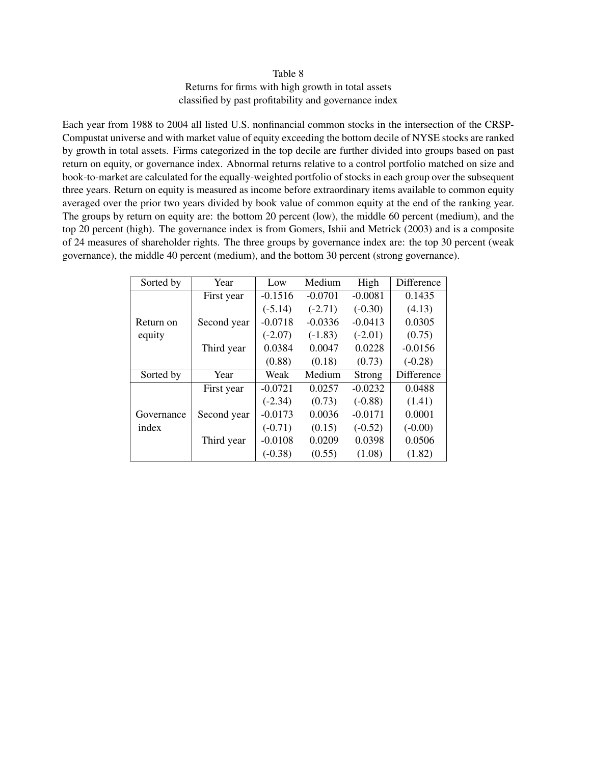# Table 8 Returns for firms with high growth in total assets classified by past profitability and governance index

Each year from 1988 to 2004 all listed U.S. nonfinancial common stocks in the intersection of the CRSP-Compustat universe and with market value of equity exceeding the bottom decile of NYSE stocks are ranked by growth in total assets. Firms categorized in the top decile are further divided into groups based on past return on equity, or governance index. Abnormal returns relative to a control portfolio matched on size and book-to-market are calculated for the equally-weighted portfolio of stocks in each group over the subsequent three years. Return on equity is measured as income before extraordinary items available to common equity averaged over the prior two years divided by book value of common equity at the end of the ranking year. The groups by return on equity are: the bottom 20 percent (low), the middle 60 percent (medium), and the top 20 percent (high). The governance index is from Gomers, Ishii and Metrick (2003) and is a composite of 24 measures of shareholder rights. The three groups by governance index are: the top 30 percent (weak governance), the middle 40 percent (medium), and the bottom 30 percent (strong governance).

| Sorted by  | Year        | Low       | Medium    | High      | Difference |
|------------|-------------|-----------|-----------|-----------|------------|
|            | First year  | $-0.1516$ | $-0.0701$ | $-0.0081$ | 0.1435     |
|            |             | $(-5.14)$ | $(-2.71)$ | $(-0.30)$ | (4.13)     |
| Return on  | Second year | $-0.0718$ | $-0.0336$ | $-0.0413$ | 0.0305     |
| equity     |             | $(-2.07)$ | $(-1.83)$ | $(-2.01)$ | (0.75)     |
|            | Third year  | 0.0384    | 0.0047    | 0.0228    | $-0.0156$  |
|            |             | (0.88)    | (0.18)    | (0.73)    | $(-0.28)$  |
| Sorted by  | Year        | Weak      | Medium    |           | Difference |
|            |             |           |           | Strong    |            |
|            | First year  | $-0.0721$ | 0.0257    | $-0.0232$ | 0.0488     |
|            |             | $(-2.34)$ | (0.73)    | $(-0.88)$ | (1.41)     |
| Governance | Second year | $-0.0173$ | 0.0036    | $-0.0171$ | 0.0001     |
| index      |             | $(-0.71)$ | (0.15)    | $(-0.52)$ | $(-0.00)$  |
|            | Third year  | $-0.0108$ | 0.0209    | 0.0398    | 0.0506     |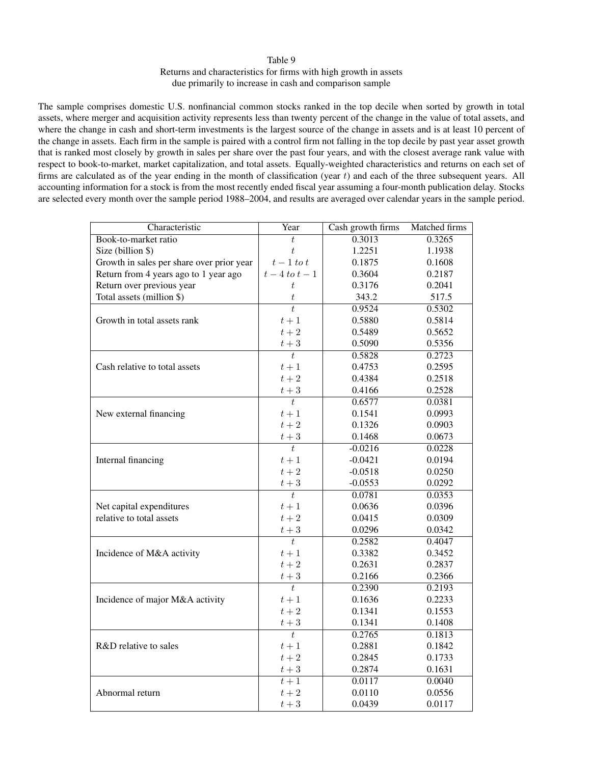Returns and characteristics for firms with high growth in assets due primarily to increase in cash and comparison sample

The sample comprises domestic U.S. nonfinancial common stocks ranked in the top decile when sorted by growth in total assets, where merger and acquisition activity represents less than twenty percent of the change in the value of total assets, and where the change in cash and short-term investments is the largest source of the change in assets and is at least 10 percent of the change in assets. Each firm in the sample is paired with a control firm not falling in the top decile by past year asset growth that is ranked most closely by growth in sales per share over the past four years, and with the closest average rank value with respect to book-to-market, market capitalization, and total assets. Equally-weighted characteristics and returns on each set of firms are calculated as of the year ending in the month of classification (year *t*) and each of the three subsequent years. All accounting information for a stock is from the most recently ended fiscal year assuming a four-month publication delay. Stocks are selected every month over the sample period 1988–2004, and results are averaged over calendar years in the sample period.

| Characteristic                            | Year             | Cash growth firms | Matched firms |
|-------------------------------------------|------------------|-------------------|---------------|
| Book-to-market ratio                      | $t_{i}$          | 0.3013            | 0.3265        |
| Size (billion \$)                         | $\bar{t}$        | 1.2251            | 1.1938        |
| Growth in sales per share over prior year | $t-1$ to t       | 0.1875            | 0.1608        |
| Return from 4 years ago to 1 year ago     | $t-4$ to $t-1$   | 0.3604            | 0.2187        |
| Return over previous year                 | $t\,$            | 0.3176            | 0.2041        |
| Total assets (million \$)                 | $\boldsymbol{t}$ | 343.2             | 517.5         |
|                                           | $\bar{t}$        | 0.9524            | 0.5302        |
| Growth in total assets rank               | $t+1$            | 0.5880            | 0.5814        |
|                                           | $t+2$            | 0.5489            | 0.5652        |
|                                           | $t+3$            | 0.5090            | 0.5356        |
|                                           | $\overline{t}$   | 0.5828            | 0.2723        |
| Cash relative to total assets             | $t+1$            | 0.4753            | 0.2595        |
|                                           | $t+2$            | 0.4384            | 0.2518        |
|                                           | $t+3$            | 0.4166            | 0.2528        |
|                                           | t                | 0.6577            | 0.0381        |
| New external financing                    | $t+1$            | 0.1541            | 0.0993        |
|                                           | $t+2$            | 0.1326            | 0.0903        |
|                                           | $t+3\,$          | 0.1468            | 0.0673        |
|                                           | t                | $-0.0216$         | 0.0228        |
| Internal financing                        | $t+1$            | $-0.0421$         | 0.0194        |
|                                           | $t+2$            | $-0.0518$         | 0.0250        |
|                                           | $t+3$            | $-0.0553$         | 0.0292        |
|                                           | $\overline{t}$   | 0.0781            | 0.0353        |
| Net capital expenditures                  | $t+1$            | 0.0636            | 0.0396        |
| relative to total assets                  | $t+2$            | 0.0415            | 0.0309        |
|                                           | $t+3$            | 0.0296            | 0.0342        |
|                                           | t                | 0.2582            | 0.4047        |
| Incidence of M&A activity                 | $t+1$            | 0.3382            | 0.3452        |
|                                           | $t+2$            | 0.2631            | 0.2837        |
|                                           | $t+3$            | 0.2166            | 0.2366        |
|                                           | t                | 0.2390            | 0.2193        |
| Incidence of major M&A activity           | $t+1$            | 0.1636            | 0.2233        |
|                                           | $t+2$            | 0.1341            | 0.1553        |
|                                           | $t+3$            | 0.1341            | 0.1408        |
|                                           | $t\,$            | 0.2765            | 0.1813        |
| R&D relative to sales                     | $t+1$            | 0.2881            | 0.1842        |
|                                           | $t+2\,$          | 0.2845            | 0.1733        |
|                                           | $t+3$            | 0.2874            | 0.1631        |
|                                           | $t+1$            | 0.0117            | 0.0040        |
| Abnormal return                           | $t+2$            | 0.0110            | 0.0556        |
|                                           | $t+3$            | 0.0439            | 0.0117        |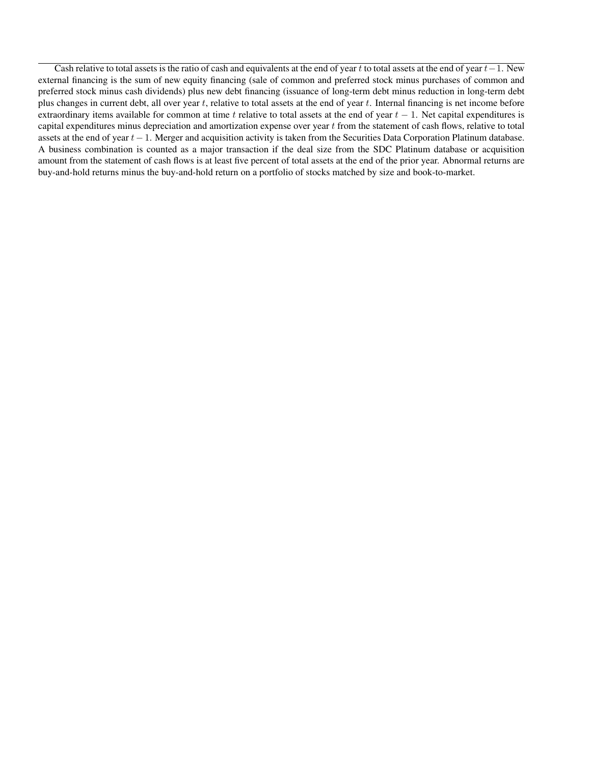Cash relative to total assets is the ratio of cash and equivalents at the end of year *t* to total assets at the end of year *t*−1. New external financing is the sum of new equity financing (sale of common and preferred stock minus purchases of common and preferred stock minus cash dividends) plus new debt financing (issuance of long-term debt minus reduction in long-term debt plus changes in current debt, all over year *t*, relative to total assets at the end of year *t*. Internal financing is net income before extraordinary items available for common at time *t* relative to total assets at the end of year *t* − 1. Net capital expenditures is capital expenditures minus depreciation and amortization expense over year *t* from the statement of cash flows, relative to total assets at the end of year *t*−1. Merger and acquisition activity is taken from the Securities Data Corporation Platinum database. A business combination is counted as a major transaction if the deal size from the SDC Platinum database or acquisition amount from the statement of cash flows is at least five percent of total assets at the end of the prior year. Abnormal returns are buy-and-hold returns minus the buy-and-hold return on a portfolio of stocks matched by size and book-to-market.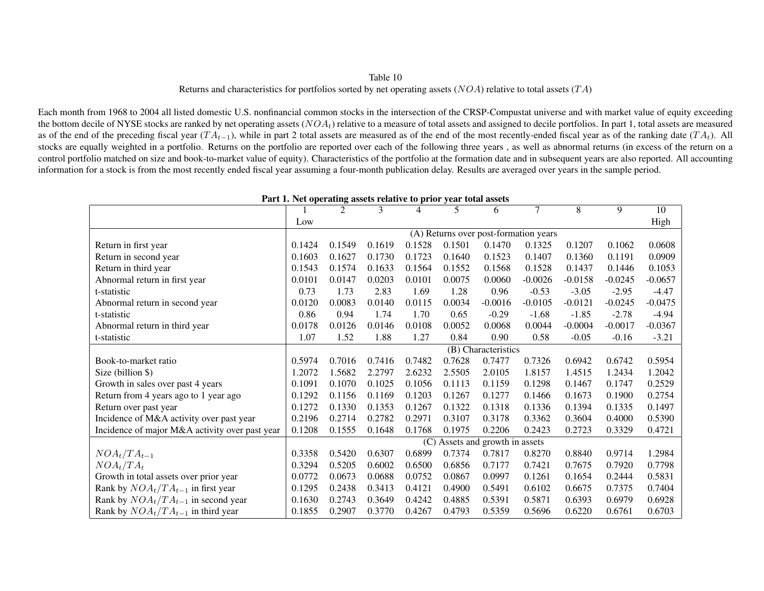#### Table 10 Returns and characteristics for portfolios sorted by net operating assets (*NOA*) relative to total assets (*T A*)

Each month from 1968 to 2004 all listed domestic U.S. nonfinancial common stocks in the intersection of the CRSP-Compustat universe and with market value of equity exceeding the bottom decile of NYSE stocks are ranked by net operating assets  $(NOA_t)$  relative to a measure of total assets and assigned to decile portfolios. In part 1, total assets are measured as of the end of the preceding fiscal year  $(T A_{t-1})$ , while in part 2 total assets are measured as of the end of the most recently-ended fiscal year as of the ranking date  $(T A_t)$ . All stocks are equally weighted in a portfolio. Returns on the portfolio are reported over each of the following three years , as well as abnormal returns (in excess of the return on a control portfolio matched on size and book-to-market value of equity). Characteristics of the portfolio at the formation date and in subsequent years are also reported. All accounting information for a stock is from the most recently ended fiscal year assuming a four-month publication delay. Results are averaged over years in the sample period.

Part 1. Net operating assets relative to prior year total assets

| r arv re rice operating assets relateve to prior year total assets |                                       |                |        |        |        |                             |           |           |           |           |
|--------------------------------------------------------------------|---------------------------------------|----------------|--------|--------|--------|-----------------------------|-----------|-----------|-----------|-----------|
|                                                                    |                                       | $\mathfrak{D}$ | 3      | 4      | 5      | 6                           | 7         | 8         | 9         | 10        |
|                                                                    | Low                                   |                |        |        |        |                             |           |           |           | High      |
|                                                                    | (A) Returns over post-formation years |                |        |        |        |                             |           |           |           |           |
| Return in first year                                               | 0.1424                                | 0.1549         | 0.1619 | 0.1528 | 0.1501 | 0.1470                      | 0.1325    | 0.1207    | 0.1062    | 0.0608    |
| Return in second year                                              | 0.1603                                | 0.1627         | 0.1730 | 0.1723 | 0.1640 | 0.1523                      | 0.1407    | 0.1360    | 0.1191    | 0.0909    |
| Return in third year                                               | 0.1543                                | 0.1574         | 0.1633 | 0.1564 | 0.1552 | 0.1568                      | 0.1528    | 0.1437    | 0.1446    | 0.1053    |
| Abnormal return in first year                                      | 0.0101                                | 0.0147         | 0.0203 | 0.0101 | 0.0075 | 0.0060                      | $-0.0026$ | $-0.0158$ | $-0.0245$ | $-0.0657$ |
| t-statistic                                                        | 0.73                                  | 1.73           | 2.83   | 1.69   | 1.28   | 0.96                        | $-0.53$   | $-3.05$   | $-2.95$   | $-4.47$   |
| Abnormal return in second year                                     | 0.0120                                | 0.0083         | 0.0140 | 0.0115 | 0.0034 | $-0.0016$                   | $-0.0105$ | $-0.0121$ | $-0.0245$ | $-0.0475$ |
| t-statistic                                                        | 0.86                                  | 0.94           | 1.74   | 1.70   | 0.65   | $-0.29$                     | $-1.68$   | $-1.85$   | $-2.78$   | $-4.94$   |
| Abnormal return in third year                                      | 0.0178                                | 0.0126         | 0.0146 | 0.0108 | 0.0052 | 0.0068                      | 0.0044    | $-0.0004$ | $-0.0017$ | $-0.0367$ |
| t-statistic                                                        | 1.07                                  | 1.52           | 1.88   | 1.27   | 0.84   | 0.90                        | 0.58      | $-0.05$   | $-0.16$   | $-3.21$   |
|                                                                    |                                       |                |        |        |        | (B) Characteristics         |           |           |           |           |
| Book-to-market ratio                                               | 0.5974                                | 0.7016         | 0.7416 | 0.7482 | 0.7628 | 0.7477                      | 0.7326    | 0.6942    | 0.6742    | 0.5954    |
| Size (billion \$)                                                  | 1.2072                                | 1.5682         | 2.2797 | 2.6232 | 2.5505 | 2.0105                      | 1.8157    | 1.4515    | 1.2434    | 1.2042    |
| Growth in sales over past 4 years                                  | 0.1091                                | 0.1070         | 0.1025 | 0.1056 | 0.1113 | 0.1159                      | 0.1298    | 0.1467    | 0.1747    | 0.2529    |
| Return from 4 years ago to 1 year ago                              | 0.1292                                | 0.1156         | 0.1169 | 0.1203 | 0.1267 | 0.1277                      | 0.1466    | 0.1673    | 0.1900    | 0.2754    |
| Return over past year                                              | 0.1272                                | 0.1330         | 0.1353 | 0.1267 | 0.1322 | 0.1318                      | 0.1336    | 0.1394    | 0.1335    | 0.1497    |
| Incidence of M&A activity over past year                           | 0.2196                                | 0.2714         | 0.2782 | 0.2971 | 0.3107 | 0.3178                      | 0.3362    | 0.3604    | 0.4000    | 0.5390    |
| Incidence of major M&A activity over past year                     | 0.1208                                | 0.1555         | 0.1648 | 0.1768 | 0.1975 | 0.2206                      | 0.2423    | 0.2723    | 0.3329    | 0.4721    |
|                                                                    |                                       |                |        | (C)    |        | Assets and growth in assets |           |           |           |           |
| $NOA_t/TA_{t-1}$                                                   | 0.3358                                | 0.5420         | 0.6307 | 0.6899 | 0.7374 | 0.7817                      | 0.8270    | 0.8840    | 0.9714    | 1.2984    |
| $NOA_t/TA_t$                                                       | 0.3294                                | 0.5205         | 0.6002 | 0.6500 | 0.6856 | 0.7177                      | 0.7421    | 0.7675    | 0.7920    | 0.7798    |
| Growth in total assets over prior year                             | 0.0772                                | 0.0673         | 0.0688 | 0.0752 | 0.0867 | 0.0997                      | 0.1261    | 0.1654    | 0.2444    | 0.5831    |
| Rank by $NOA_t/TA_{t-1}$ in first year                             | 0.1295                                | 0.2438         | 0.3413 | 0.4121 | 0.4900 | 0.5491                      | 0.6102    | 0.6675    | 0.7375    | 0.7404    |
| Rank by $NOA_t/TA_{t-1}$ in second year                            | 0.1630                                | 0.2743         | 0.3649 | 0.4242 | 0.4885 | 0.5391                      | 0.5871    | 0.6393    | 0.6979    | 0.6928    |
| Rank by $NOA_t/TA_{t-1}$ in third year                             | 0.1855                                | 0.2907         | 0.3770 | 0.4267 | 0.4793 | 0.5359                      | 0.5696    | 0.6220    | 0.6761    | 0.6703    |